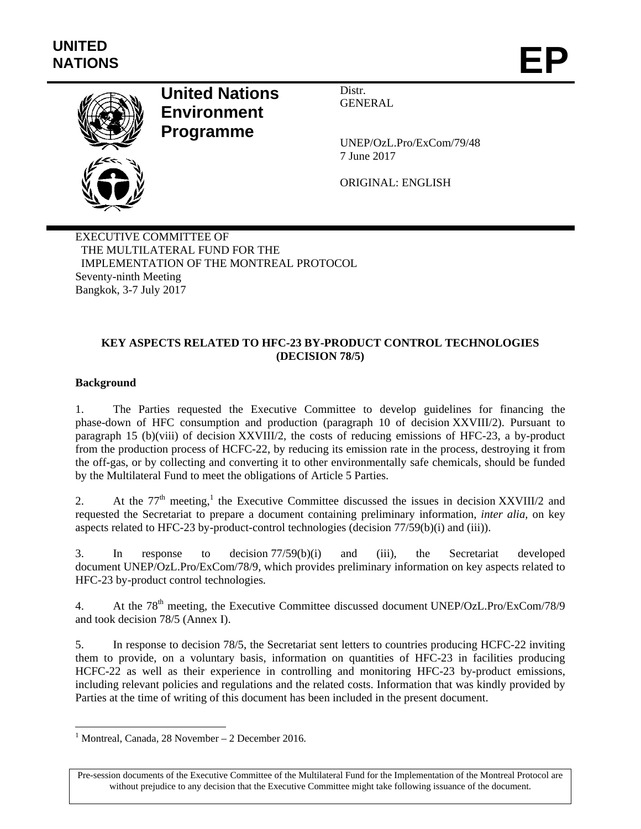

# **United Nations Environment Programme**

Distr. GENERAL

UNEP/OzL.Pro/ExCom/79/48 7 June 2017

ORIGINAL: ENGLISH

EXECUTIVE COMMITTEE OF THE MULTILATERAL FUND FOR THE IMPLEMENTATION OF THE MONTREAL PROTOCOL Seventy-ninth Meeting Bangkok, 3-7 July 2017

# **KEY ASPECTS RELATED TO HFC-23 BY-PRODUCT CONTROL TECHNOLOGIES (DECISION 78/5)**

### **Background**

1

1. The Parties requested the Executive Committee to develop guidelines for financing the phase-down of HFC consumption and production (paragraph 10 of decision XXVIII/2). Pursuant to paragraph 15 (b)(viii) of decision XXVIII/2, the costs of reducing emissions of HFC-23, a by-product from the production process of HCFC-22, by reducing its emission rate in the process, destroying it from the off-gas, or by collecting and converting it to other environmentally safe chemicals, should be funded by the Multilateral Fund to meet the obligations of Article 5 Parties.

2. At the  $77<sup>th</sup>$  meeting,<sup>1</sup> the Executive Committee discussed the issues in decision XXVIII/2 and requested the Secretariat to prepare a document containing preliminary information, *inter alia,* on key aspects related to HFC-23 by-product-control technologies (decision 77/59(b)(i) and (iii)).

3. In response to decision 77/59(b)(i) and (iii), the Secretariat developed document UNEP/OzL.Pro/ExCom/78/9, which provides preliminary information on key aspects related to HFC-23 by-product control technologies.

4. At the 78<sup>th</sup> meeting, the Executive Committee discussed document UNEP/OzL.Pro/ExCom/78/9 and took decision 78/5 (Annex I).

5. In response to decision 78/5, the Secretariat sent letters to countries producing HCFC-22 inviting them to provide, on a voluntary basis, information on quantities of HFC-23 in facilities producing HCFC-22 as well as their experience in controlling and monitoring HFC-23 by-product emissions, including relevant policies and regulations and the related costs. Information that was kindly provided by Parties at the time of writing of this document has been included in the present document.

Pre-session documents of the Executive Committee of the Multilateral Fund for the Implementation of the Montreal Protocol are without prejudice to any decision that the Executive Committee might take following issuance of the document.

<sup>1</sup> Montreal, Canada, 28 November – 2 December 2016.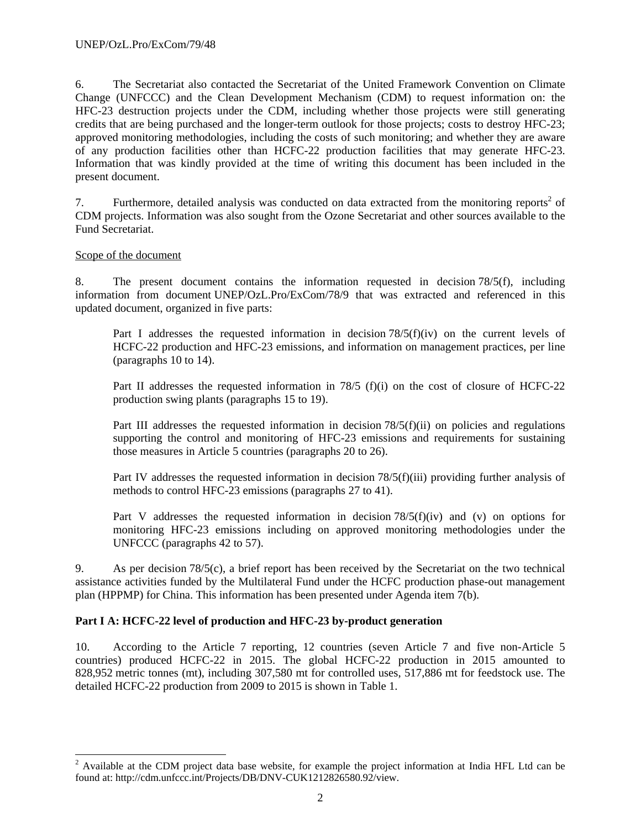6. The Secretariat also contacted the Secretariat of the United Framework Convention on Climate Change (UNFCCC) and the Clean Development Mechanism (CDM) to request information on: the HFC-23 destruction projects under the CDM, including whether those projects were still generating credits that are being purchased and the longer-term outlook for those projects; costs to destroy HFC-23; approved monitoring methodologies, including the costs of such monitoring; and whether they are aware of any production facilities other than HCFC-22 production facilities that may generate HFC-23. Information that was kindly provided at the time of writing this document has been included in the present document.

7. Furthermore, detailed analysis was conducted on data extracted from the monitoring reports<sup>2</sup> of CDM projects. Information was also sought from the Ozone Secretariat and other sources available to the Fund Secretariat.

### Scope of the document

1

8. The present document contains the information requested in decision 78/5(f), including information from document UNEP/OzL.Pro/ExCom/78/9 that was extracted and referenced in this updated document, organized in five parts:

Part I addresses the requested information in decision  $78/5(f)(iv)$  on the current levels of HCFC-22 production and HFC-23 emissions, and information on management practices, per line (paragraphs 10 to 14).

Part II addresses the requested information in 78/5 (f)(i) on the cost of closure of HCFC-22 production swing plants (paragraphs 15 to 19).

Part III addresses the requested information in decision  $78/5(f)(ii)$  on policies and regulations supporting the control and monitoring of HFC-23 emissions and requirements for sustaining those measures in Article 5 countries (paragraphs 20 to 26).

Part IV addresses the requested information in decision 78/5(f)(iii) providing further analysis of methods to control HFC-23 emissions (paragraphs 27 to 41).

Part V addresses the requested information in decision  $78/5(f)(iv)$  and (v) on options for monitoring HFC-23 emissions including on approved monitoring methodologies under the UNFCCC (paragraphs 42 to 57).

9. As per decision 78/5(c), a brief report has been received by the Secretariat on the two technical assistance activities funded by the Multilateral Fund under the HCFC production phase-out management plan (HPPMP) for China. This information has been presented under Agenda item 7(b).

## **Part I A: HCFC-22 level of production and HFC-23 by-product generation**

10. According to the Article 7 reporting, 12 countries (seven Article 7 and five non-Article 5 countries) produced HCFC-22 in 2015. The global HCFC-22 production in 2015 amounted to 828,952 metric tonnes (mt), including 307,580 mt for controlled uses, 517,886 mt for feedstock use. The detailed HCFC-22 production from 2009 to 2015 is shown in Table 1.

 $2$  Available at the CDM project data base website, for example the project information at India HFL Ltd can be found at: http://cdm.unfccc.int/Projects/DB/DNV-CUK1212826580.92/view.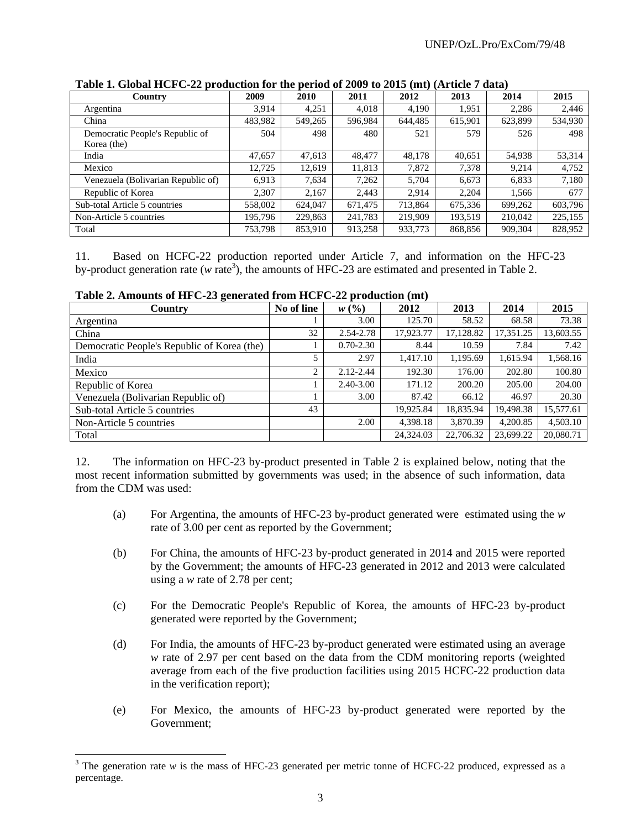| Country                            | 2009    | 2010    | 2011    | $\sim$<br>2012 | 2013    | 2014    | 2015    |
|------------------------------------|---------|---------|---------|----------------|---------|---------|---------|
| Argentina                          | 3.914   | 4,251   | 4.018   | 4,190          | 1,951   | 2,286   | 2,446   |
| China                              | 483,982 | 549,265 | 596,984 | 644,485        | 615,901 | 623,899 | 534,930 |
| Democratic People's Republic of    | 504     | 498     | 480     | 521            | 579     | 526     | 498     |
| Korea (the)                        |         |         |         |                |         |         |         |
| India                              | 47,657  | 47,613  | 48,477  | 48,178         | 40,651  | 54,938  | 53,314  |
| Mexico                             | 12,725  | 12,619  | 11,813  | 7,872          | 7,378   | 9,214   | 4,752   |
| Venezuela (Bolivarian Republic of) | 6,913   | 7,634   | 7,262   | 5,704          | 6,673   | 6,833   | 7,180   |
| Republic of Korea                  | 2,307   | 2,167   | 2,443   | 2,914          | 2,204   | 1,566   | 677     |
| Sub-total Article 5 countries      | 558,002 | 624,047 | 671,475 | 713,864        | 675,336 | 699,262 | 603,796 |
| Non-Article 5 countries            | 195.796 | 229,863 | 241,783 | 219,909        | 193.519 | 210,042 | 225,155 |
| Total                              | 753,798 | 853,910 | 913,258 | 933,773        | 868,856 | 909,304 | 828,952 |

**Table 1. Global HCFC-22 production for the period of 2009 to 2015 (mt) (Article 7 data)** 

11. Based on HCFC-22 production reported under Article 7, and information on the HFC-23 by-product generation rate ( $w$  rate<sup>3</sup>), the amounts of HFC-23 are estimated and presented in Table 2.

| $\mathbf{\mathcal{P}}$<br>Country           | No of line     | w(0/0)        | 2012      | 2013      | 2014      | 2015      |
|---------------------------------------------|----------------|---------------|-----------|-----------|-----------|-----------|
| Argentina                                   |                | 3.00          | 125.70    | 58.52     | 68.58     | 73.38     |
| China                                       | 32             | 2.54-2.78     | 17,923.77 | 17,128.82 | 17,351.25 | 13,603.55 |
| Democratic People's Republic of Korea (the) |                | $0.70 - 2.30$ | 8.44      | 10.59     | 7.84      | 7.42      |
| India                                       |                | 2.97          | 1,417.10  | 1,195.69  | 1,615.94  | 1,568.16  |
| Mexico                                      | $\overline{2}$ | $2.12 - 2.44$ | 192.30    | 176.00    | 202.80    | 100.80    |
| Republic of Korea                           |                | 2.40-3.00     | 171.12    | 200.20    | 205.00    | 204.00    |
| Venezuela (Bolivarian Republic of)          |                | 3.00          | 87.42     | 66.12     | 46.97     | 20.30     |
| Sub-total Article 5 countries               | 43             |               | 19,925.84 | 18,835.94 | 19.498.38 | 15,577.61 |
| Non-Article 5 countries                     |                | 2.00          | 4.398.18  | 3,870.39  | 4,200.85  | 4,503.10  |
| Total                                       |                |               | 24,324.03 | 22,706.32 | 23,699.22 | 20,080.71 |

**Table 2. Amounts of HFC-23 generated from HCFC-22 production (mt)** 

12. The information on HFC-23 by-product presented in Table 2 is explained below, noting that the most recent information submitted by governments was used; in the absence of such information, data from the CDM was used:

- (a) For Argentina, the amounts of HFC-23 by-product generated were estimated using the *w*  rate of 3.00 per cent as reported by the Government;
- (b) For China, the amounts of HFC-23 by-product generated in 2014 and 2015 were reported by the Government; the amounts of HFC-23 generated in 2012 and 2013 were calculated using a *w* rate of 2.78 per cent;
- (c) For the Democratic People's Republic of Korea, the amounts of HFC-23 by-product generated were reported by the Government;
- (d) For India, the amounts of HFC-23 by-product generated were estimated using an average *w* rate of 2.97 per cent based on the data from the CDM monitoring reports (weighted average from each of the five production facilities using 2015 HCFC-22 production data in the verification report);
- (e) For Mexico, the amounts of HFC-23 by-product generated were reported by the Government;

1

 $3$  The generation rate *w* is the mass of HFC-23 generated per metric tonne of HCFC-22 produced, expressed as a percentage.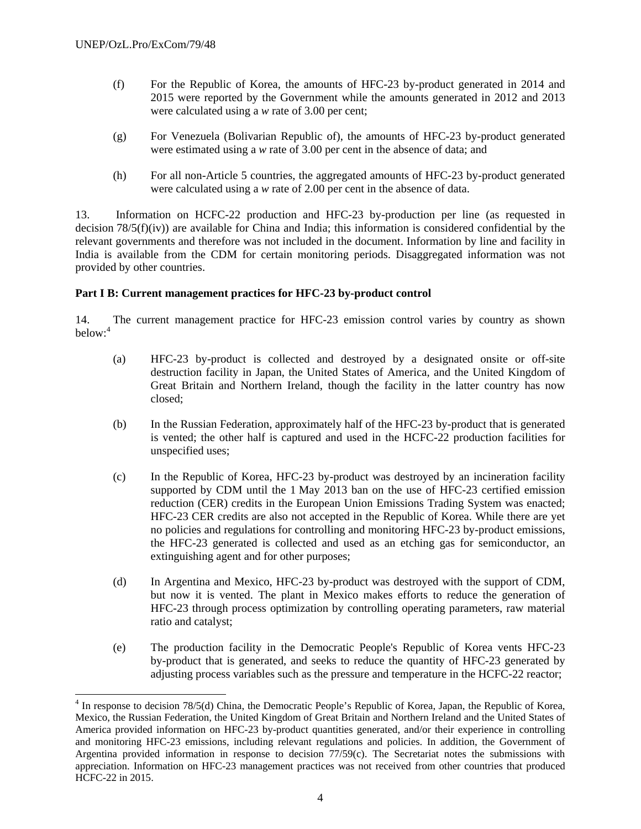l

- (f) For the Republic of Korea, the amounts of HFC-23 by-product generated in 2014 and 2015 were reported by the Government while the amounts generated in 2012 and 2013 were calculated using a *w* rate of 3.00 per cent;
- (g) For Venezuela (Bolivarian Republic of), the amounts of HFC-23 by-product generated were estimated using a *w* rate of 3.00 per cent in the absence of data; and
- (h) For all non-Article 5 countries, the aggregated amounts of HFC-23 by-product generated were calculated using a *w* rate of 2.00 per cent in the absence of data.

13. Information on HCFC-22 production and HFC-23 by-production per line (as requested in decision  $78/5(f)(iv)$ ) are available for China and India; this information is considered confidential by the relevant governments and therefore was not included in the document. Information by line and facility in India is available from the CDM for certain monitoring periods. Disaggregated information was not provided by other countries.

### **Part I B: Current management practices for HFC-23 by-product control**

14. The current management practice for HFC-23 emission control varies by country as shown below:<sup>4</sup>

- (a) HFC-23 by-product is collected and destroyed by a designated onsite or off-site destruction facility in Japan, the United States of America, and the United Kingdom of Great Britain and Northern Ireland, though the facility in the latter country has now closed;
- (b) In the Russian Federation, approximately half of the HFC-23 by-product that is generated is vented; the other half is captured and used in the HCFC-22 production facilities for unspecified uses;
- (c) In the Republic of Korea, HFC-23 by-product was destroyed by an incineration facility supported by CDM until the 1 May 2013 ban on the use of HFC-23 certified emission reduction (CER) credits in the European Union Emissions Trading System was enacted; HFC-23 CER credits are also not accepted in the Republic of Korea. While there are yet no policies and regulations for controlling and monitoring HFC-23 by-product emissions, the HFC-23 generated is collected and used as an etching gas for semiconductor, an extinguishing agent and for other purposes;
- (d) In Argentina and Mexico, HFC-23 by-product was destroyed with the support of CDM, but now it is vented. The plant in Mexico makes efforts to reduce the generation of HFC-23 through process optimization by controlling operating parameters, raw material ratio and catalyst;
- (e) The production facility in the Democratic People's Republic of Korea vents HFC-23 by-product that is generated, and seeks to reduce the quantity of HFC-23 generated by adjusting process variables such as the pressure and temperature in the HCFC-22 reactor;

 $4$  In response to decision 78/5(d) China, the Democratic People's Republic of Korea, Japan, the Republic of Korea, Mexico, the Russian Federation, the United Kingdom of Great Britain and Northern Ireland and the United States of America provided information on HFC-23 by-product quantities generated, and/or their experience in controlling and monitoring HFC-23 emissions, including relevant regulations and policies. In addition, the Government of Argentina provided information in response to decision 77/59(c). The Secretariat notes the submissions with appreciation. Information on HFC-23 management practices was not received from other countries that produced HCFC-22 in 2015.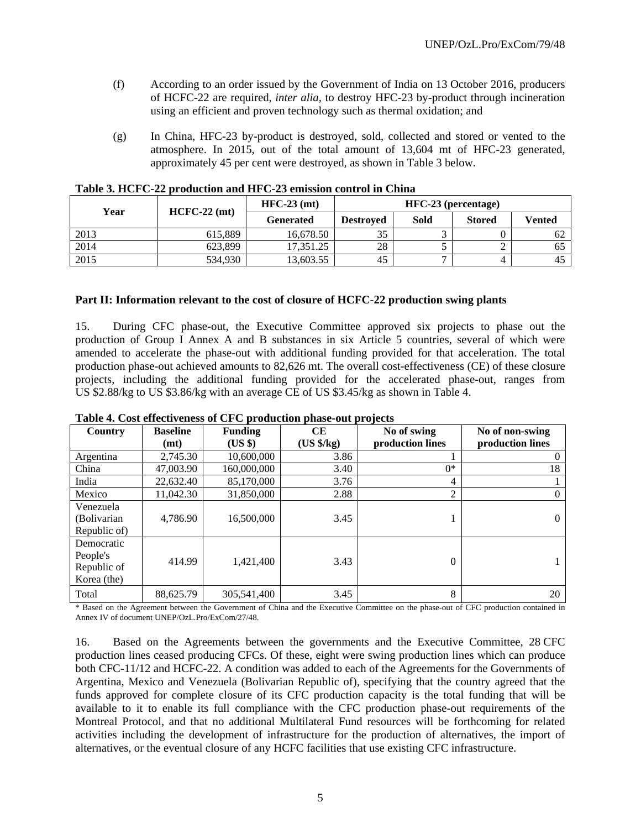- (f) According to an order issued by the Government of India on 13 October 2016, producers of HCFC-22 are required, *inter alia,* to destroy HFC-23 by-product through incineration using an efficient and proven technology such as thermal oxidation; and
- (g) In China, HFC-23 by-product is destroyed, sold, collected and stored or vented to the atmosphere. In 2015, out of the total amount of 13,604 mt of HFC-23 generated, approximately 45 per cent were destroyed, as shown in Table 3 below.

|      |                | $HFC-23$ (mt)    | <b>HFC-23</b> (percentage) |             |               |        |  |  |  |  |
|------|----------------|------------------|----------------------------|-------------|---------------|--------|--|--|--|--|
| Year | $HCFC-22$ (mt) | <b>Generated</b> | <b>Destroved</b>           | <b>Sold</b> | <b>Stored</b> | Vented |  |  |  |  |
| 2013 | 615,889        | 16,678.50        | 35                         |             |               | OΖ     |  |  |  |  |
| 2014 | 623.899        | 17.351.25        | 28                         |             |               | 62     |  |  |  |  |
| 2015 | 534,930        | 13,603.55        | 45                         |             |               |        |  |  |  |  |

**Table 3. HCFC-22 production and HFC-23 emission control in China** 

#### **Part II: Information relevant to the cost of closure of HCFC-22 production swing plants**

15. During CFC phase-out, the Executive Committee approved six projects to phase out the production of Group I Annex A and B substances in six Article 5 countries, several of which were amended to accelerate the phase-out with additional funding provided for that acceleration. The total production phase-out achieved amounts to 82,626 mt. The overall cost-effectiveness (CE) of these closure projects, including the additional funding provided for the accelerated phase-out, ranges from US \$2.88/kg to US \$3.86/kg with an average CE of US \$3.45/kg as shown in Table 4.

| Country                                              | <b>Baseline</b><br>(mt) | <b>Funding</b><br>(US \$) | <b>CE</b><br>$(US \frac{6}{5}k)$ | No of swing<br>production lines | No of non-swing<br>production lines |
|------------------------------------------------------|-------------------------|---------------------------|----------------------------------|---------------------------------|-------------------------------------|
| Argentina                                            | 2,745.30                | 10.600,000                | 3.86                             |                                 | $_{0}$                              |
| China                                                | 47,003.90               | 160,000,000               | 3.40                             | $0*$                            | 18                                  |
| India                                                | 22,632.40               | 85,170,000                | 3.76                             | 4                               |                                     |
| Mexico                                               | 11.042.30               | 31,850,000                | 2.88                             | 2                               | $\Omega$                            |
| Venezuela<br>(Bolivarian<br>Republic of)             | 4,786.90                | 16.500,000                | 3.45                             |                                 | 0                                   |
| Democratic<br>People's<br>Republic of<br>Korea (the) | 414.99                  | 1,421,400                 | 3.43                             | $\Omega$                        |                                     |
| Total                                                | 88.625.79               | 305,541,400               | 3.45                             | 8                               | 20                                  |

**Table 4. Cost effectiveness of CFC production phase-out projects** 

\* Based on the Agreement between the Government of China and the Executive Committee on the phase-out of CFC production contained in Annex IV of document UNEP/OzL.Pro/ExCom/27/48.

16. Based on the Agreements between the governments and the Executive Committee, 28 CFC production lines ceased producing CFCs. Of these, eight were swing production lines which can produce both CFC-11/12 and HCFC-22. A condition was added to each of the Agreements for the Governments of Argentina, Mexico and Venezuela (Bolivarian Republic of), specifying that the country agreed that the funds approved for complete closure of its CFC production capacity is the total funding that will be available to it to enable its full compliance with the CFC production phase-out requirements of the Montreal Protocol, and that no additional Multilateral Fund resources will be forthcoming for related activities including the development of infrastructure for the production of alternatives, the import of alternatives, or the eventual closure of any HCFC facilities that use existing CFC infrastructure.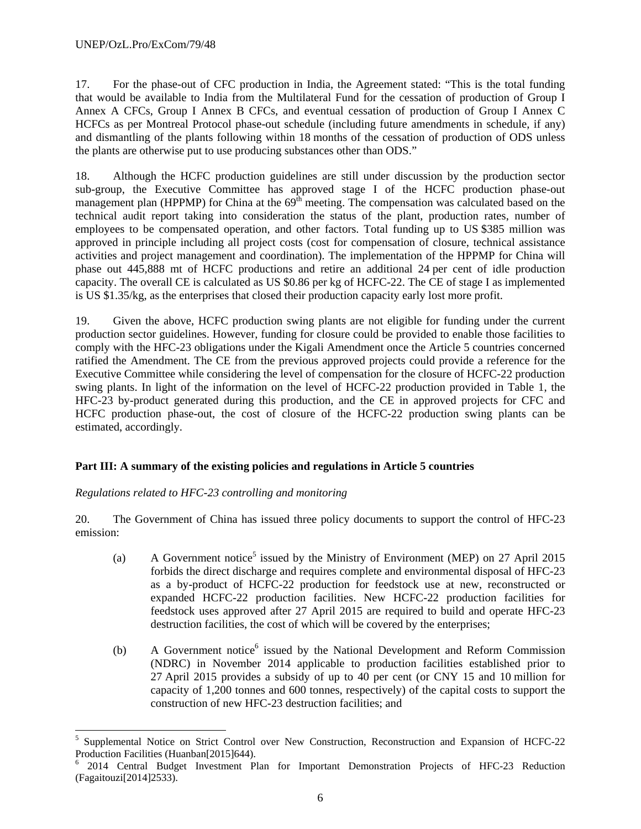17. For the phase-out of CFC production in India, the Agreement stated: "This is the total funding that would be available to India from the Multilateral Fund for the cessation of production of Group I Annex A CFCs, Group I Annex B CFCs, and eventual cessation of production of Group I Annex C HCFCs as per Montreal Protocol phase-out schedule (including future amendments in schedule, if any) and dismantling of the plants following within 18 months of the cessation of production of ODS unless the plants are otherwise put to use producing substances other than ODS."

18. Although the HCFC production guidelines are still under discussion by the production sector sub-group, the Executive Committee has approved stage I of the HCFC production phase-out management plan (HPPMP) for China at the  $69<sup>th</sup>$  meeting. The compensation was calculated based on the technical audit report taking into consideration the status of the plant, production rates, number of employees to be compensated operation, and other factors. Total funding up to US \$385 million was approved in principle including all project costs (cost for compensation of closure, technical assistance activities and project management and coordination). The implementation of the HPPMP for China will phase out 445,888 mt of HCFC productions and retire an additional 24 per cent of idle production capacity. The overall CE is calculated as US \$0.86 per kg of HCFC-22. The CE of stage I as implemented is US \$1.35/kg, as the enterprises that closed their production capacity early lost more profit.

19. Given the above, HCFC production swing plants are not eligible for funding under the current production sector guidelines. However, funding for closure could be provided to enable those facilities to comply with the HFC-23 obligations under the Kigali Amendment once the Article 5 countries concerned ratified the Amendment. The CE from the previous approved projects could provide a reference for the Executive Committee while considering the level of compensation for the closure of HCFC-22 production swing plants. In light of the information on the level of HCFC-22 production provided in Table 1, the HFC-23 by-product generated during this production, and the CE in approved projects for CFC and HCFC production phase-out, the cost of closure of the HCFC-22 production swing plants can be estimated, accordingly.

## **Part III: A summary of the existing policies and regulations in Article 5 countries**

## *Regulations related to HFC-23 controlling and monitoring*

20. The Government of China has issued three policy documents to support the control of HFC-23 emission:

- (a) A Government notice<sup>5</sup> issued by the Ministry of Environment (MEP) on 27 April 2015 forbids the direct discharge and requires complete and environmental disposal of HFC-23 as a by-product of HCFC-22 production for feedstock use at new, reconstructed or expanded HCFC-22 production facilities. New HCFC-22 production facilities for feedstock uses approved after 27 April 2015 are required to build and operate HFC-23 destruction facilities, the cost of which will be covered by the enterprises;
- (b) A Government notice<sup>6</sup> issued by the National Development and Reform Commission (NDRC) in November 2014 applicable to production facilities established prior to 27 April 2015 provides a subsidy of up to 40 per cent (or CNY 15 and 10 million for capacity of 1,200 tonnes and 600 tonnes, respectively) of the capital costs to support the construction of new HFC-23 destruction facilities; and

<sup>-</sup>5 Supplemental Notice on Strict Control over New Construction, Reconstruction and Expansion of HCFC-22 Production Facilities (Huanban[2015]644).

<sup>6</sup> 2014 Central Budget Investment Plan for Important Demonstration Projects of HFC-23 Reduction (Fagaitouzi[2014]2533).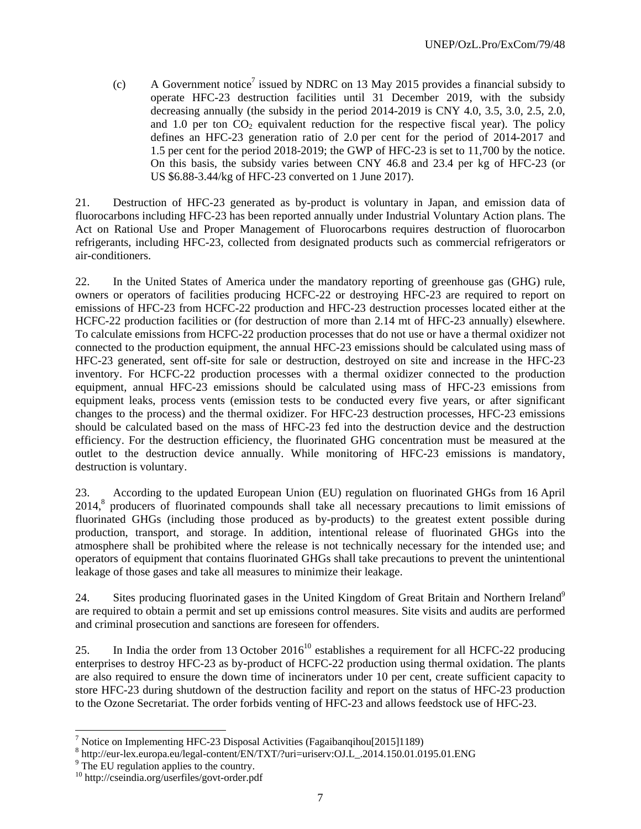(c) A Government notice<sup>7</sup> issued by NDRC on 13 May 2015 provides a financial subsidy to operate HFC-23 destruction facilities until 31 December 2019, with the subsidy decreasing annually (the subsidy in the period 2014-2019 is CNY 4.0, 3.5, 3.0, 2.5, 2.0, and 1.0 per ton  $CO<sub>2</sub>$  equivalent reduction for the respective fiscal year). The policy defines an HFC-23 generation ratio of 2.0 per cent for the period of 2014-2017 and 1.5 per cent for the period 2018-2019; the GWP of HFC-23 is set to 11,700 by the notice. On this basis, the subsidy varies between CNY 46.8 and 23.4 per kg of HFC-23 (or US \$6.88-3.44/kg of HFC-23 converted on 1 June 2017).

21. Destruction of HFC-23 generated as by-product is voluntary in Japan, and emission data of fluorocarbons including HFC-23 has been reported annually under Industrial Voluntary Action plans. The Act on Rational Use and Proper Management of Fluorocarbons requires destruction of fluorocarbon refrigerants, including HFC-23, collected from designated products such as commercial refrigerators or air-conditioners.

22. In the United States of America under the mandatory reporting of greenhouse gas (GHG) rule, owners or operators of facilities producing HCFC-22 or destroying HFC-23 are required to report on emissions of HFC-23 from HCFC-22 production and HFC-23 destruction processes located either at the HCFC-22 production facilities or (for destruction of more than 2.14 mt of HFC-23 annually) elsewhere. To calculate emissions from HCFC-22 production processes that do not use or have a thermal oxidizer not connected to the production equipment, the annual HFC-23 emissions should be calculated using mass of HFC-23 generated, sent off-site for sale or destruction, destroyed on site and increase in the HFC-23 inventory. For HCFC-22 production processes with a thermal oxidizer connected to the production equipment, annual HFC-23 emissions should be calculated using mass of HFC-23 emissions from equipment leaks, process vents (emission tests to be conducted every five years, or after significant changes to the process) and the thermal oxidizer. For HFC-23 destruction processes, HFC-23 emissions should be calculated based on the mass of HFC-23 fed into the destruction device and the destruction efficiency. For the destruction efficiency, the fluorinated GHG concentration must be measured at the outlet to the destruction device annually. While monitoring of HFC-23 emissions is mandatory, destruction is voluntary.

23. According to the updated European Union (EU) regulation on fluorinated GHGs from 16 April 2014,<sup>8</sup> producers of fluorinated compounds shall take all necessary precautions to limit emissions of fluorinated GHGs (including those produced as by-products) to the greatest extent possible during production, transport, and storage. In addition, intentional release of fluorinated GHGs into the atmosphere shall be prohibited where the release is not technically necessary for the intended use; and operators of equipment that contains fluorinated GHGs shall take precautions to prevent the unintentional leakage of those gases and take all measures to minimize their leakage.

24. Sites producing fluorinated gases in the United Kingdom of Great Britain and Northern Ireland<sup>9</sup> are required to obtain a permit and set up emissions control measures. Site visits and audits are performed and criminal prosecution and sanctions are foreseen for offenders.

25. In India the order from 13 October  $2016^{10}$  establishes a requirement for all HCFC-22 producing enterprises to destroy HFC-23 as by-product of HCFC-22 production using thermal oxidation. The plants are also required to ensure the down time of incinerators under 10 per cent, create sufficient capacity to store HFC-23 during shutdown of the destruction facility and report on the status of HFC-23 production to the Ozone Secretariat. The order forbids venting of HFC-23 and allows feedstock use of HFC-23.

<sup>-</sup><sup>7</sup> Notice on Implementing HFC-23 Disposal Activities (Fagaibanqihou $[2015]1189$ )

 $^8$  http://eur-lex.europa.eu/legal-content/EN/TXT/?uri=uriserv:OJ.L\_.2014.150.01.0195.01.ENG<br><sup>9</sup> The EU requisition epolies to the country

<sup>&</sup>lt;sup>9</sup> The EU regulation applies to the country.

<sup>10</sup> http://cseindia.org/userfiles/govt-order.pdf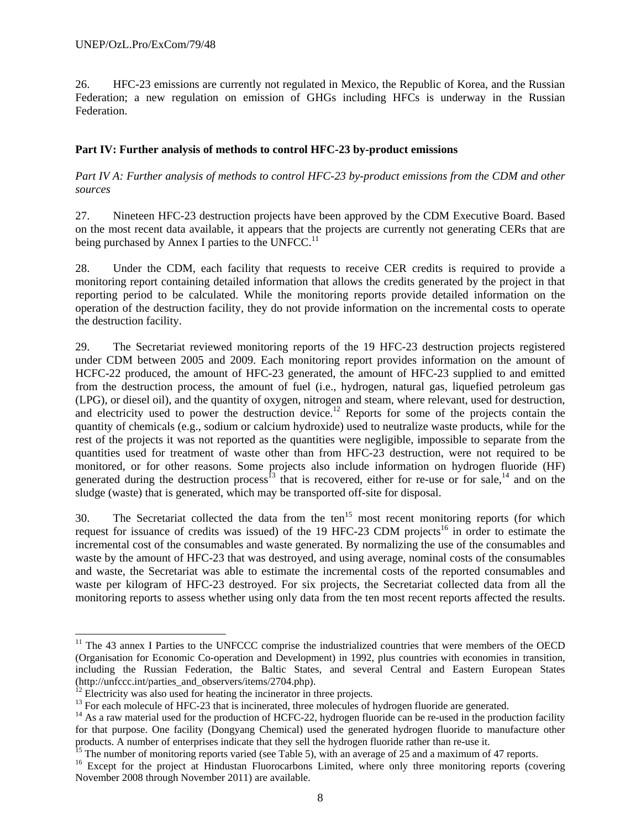26. HFC-23 emissions are currently not regulated in Mexico, the Republic of Korea, and the Russian Federation; a new regulation on emission of GHGs including HFCs is underway in the Russian Federation.

### **Part IV: Further analysis of methods to control HFC-23 by-product emissions**

*Part IV A: Further analysis of methods to control HFC-23 by-product emissions from the CDM and other sources* 

27. Nineteen HFC-23 destruction projects have been approved by the CDM Executive Board. Based on the most recent data available, it appears that the projects are currently not generating CERs that are being purchased by Annex I parties to the UNFCC.<sup>11</sup>

28. Under the CDM, each facility that requests to receive CER credits is required to provide a monitoring report containing detailed information that allows the credits generated by the project in that reporting period to be calculated. While the monitoring reports provide detailed information on the operation of the destruction facility, they do not provide information on the incremental costs to operate the destruction facility.

29. The Secretariat reviewed monitoring reports of the 19 HFC-23 destruction projects registered under CDM between 2005 and 2009. Each monitoring report provides information on the amount of HCFC-22 produced, the amount of HFC-23 generated, the amount of HFC-23 supplied to and emitted from the destruction process, the amount of fuel (i.e., hydrogen, natural gas, liquefied petroleum gas (LPG), or diesel oil), and the quantity of oxygen, nitrogen and steam, where relevant, used for destruction, and electricity used to power the destruction device.<sup>12</sup> Reports for some of the projects contain the quantity of chemicals (e.g., sodium or calcium hydroxide) used to neutralize waste products, while for the rest of the projects it was not reported as the quantities were negligible, impossible to separate from the quantities used for treatment of waste other than from HFC-23 destruction, were not required to be monitored, or for other reasons. Some projects also include information on hydrogen fluoride (HF) generated during the destruction process<sup>13</sup> that is recovered, either for re-use or for sale,<sup>14</sup> and on the sludge (waste) that is generated, which may be transported off-site for disposal.

30. The Secretariat collected the data from the ten<sup>15</sup> most recent monitoring reports (for which request for issuance of credits was issued) of the 19 HFC-23 CDM projects<sup>16</sup> in order to estimate the incremental cost of the consumables and waste generated. By normalizing the use of the consumables and waste by the amount of HFC-23 that was destroyed, and using average, nominal costs of the consumables and waste, the Secretariat was able to estimate the incremental costs of the reported consumables and waste per kilogram of HFC-23 destroyed. For six projects, the Secretariat collected data from all the monitoring reports to assess whether using only data from the ten most recent reports affected the results.

1

 $11$  The 43 annex I Parties to the UNFCCC comprise the industrialized countries that were members of the OECD (Organisation for Economic Co-operation and Development) in 1992, plus countries with economies in transition, including the Russian Federation, the Baltic States, and several Central and Eastern European States (http://unfccc.int/parties\_and\_observers/items/2704.php).

 $12$  Electricity was also used for heating the incinerator in three projects.

<sup>&</sup>lt;sup>13</sup> For each molecule of HFC-23 that is incinerated, three molecules of hydrogen fluoride are generated.

 $14$  As a raw material used for the production of HCFC-22, hydrogen fluoride can be re-used in the production facility for that purpose. One facility (Dongyang Chemical) used the generated hydrogen fluoride to manufacture other products. A number of enterprises indicate that they sell the hydrogen fluoride rather than re-use it.

<sup>&</sup>lt;sup>15</sup> The number of monitoring reports varied (see Table 5), with an average of 25 and a maximum of 47 reports.

<sup>&</sup>lt;sup>16</sup> Except for the project at Hindustan Fluorocarbons Limited, where only three monitoring reports (covering November 2008 through November 2011) are available.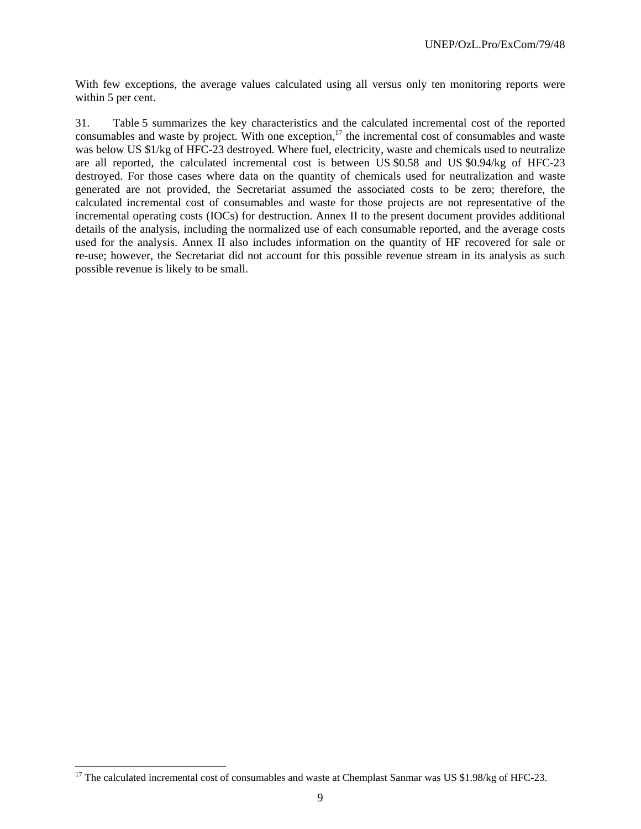With few exceptions, the average values calculated using all versus only ten monitoring reports were within 5 per cent.

31. Table 5 summarizes the key characteristics and the calculated incremental cost of the reported consumables and waste by project. With one exception,<sup>17</sup> the incremental cost of consumables and waste was below US \$1/kg of HFC-23 destroyed. Where fuel, electricity, waste and chemicals used to neutralize are all reported, the calculated incremental cost is between US \$0.58 and US \$0.94/kg of HFC-23 destroyed. For those cases where data on the quantity of chemicals used for neutralization and waste generated are not provided, the Secretariat assumed the associated costs to be zero; therefore, the calculated incremental cost of consumables and waste for those projects are not representative of the incremental operating costs (IOCs) for destruction. Annex II to the present document provides additional details of the analysis, including the normalized use of each consumable reported, and the average costs used for the analysis. Annex II also includes information on the quantity of HF recovered for sale or re-use; however, the Secretariat did not account for this possible revenue stream in its analysis as such possible revenue is likely to be small.

l

 $17$  The calculated incremental cost of consumables and waste at Chemplast Sanmar was US \$1.98/kg of HFC-23.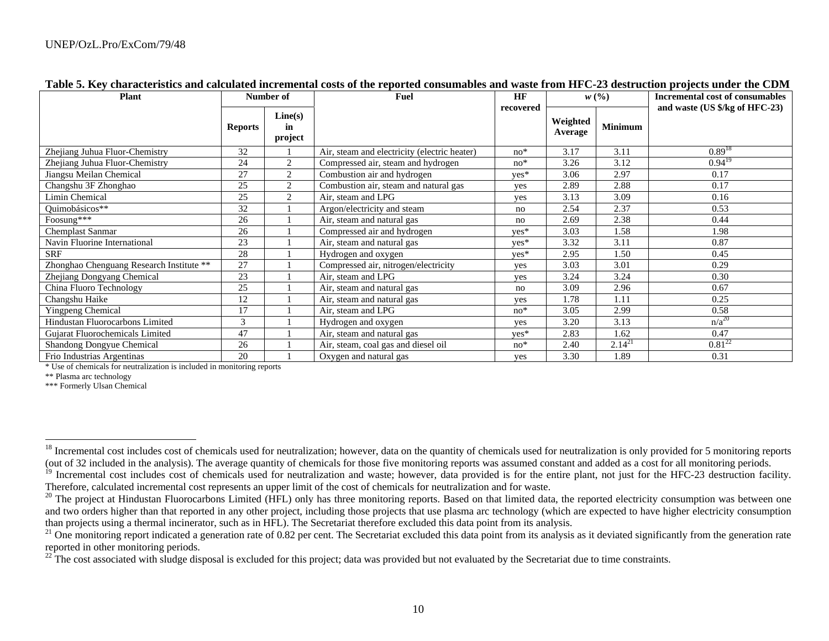| <b>Plant</b>                             | Number of       |                          | <b>Fuel</b>                                  | HF        | W(%)                |                | <b>Incremental cost of consumables</b> |
|------------------------------------------|-----------------|--------------------------|----------------------------------------------|-----------|---------------------|----------------|----------------------------------------|
|                                          | <b>Reports</b>  | Line(s)<br>in<br>project |                                              | recovered | Weighted<br>Average | <b>Minimum</b> | and waste (US \$/kg of HFC-23)         |
| Zhejiang Juhua Fluor-Chemistry           | 32              |                          | Air, steam and electricity (electric heater) | $no*$     | 3.17                | 3.11           | $0.89^{18}$                            |
| Zhejiang Juhua Fluor-Chemistry           | 24              | 2                        | Compressed air, steam and hydrogen           | $no*$     | 3.26                | 3.12           | $0.94^{19}$                            |
| Jiangsu Meilan Chemical                  | 27              | $\overline{2}$           | Combustion air and hydrogen                  | $yes*$    | 3.06                | 2.97           | 0.17                                   |
| Changshu 3F Zhonghao                     | $\overline{25}$ | 2                        | Combustion air, steam and natural gas        | yes       | 2.89                | 2.88           | 0.17                                   |
| Limin Chemical                           | 25              | $\overline{2}$           | Air, steam and LPG                           | yes       | 3.13                | 3.09           | 0.16                                   |
| Quimobásicos**                           | $\overline{32}$ |                          | Argon/electricity and steam                  | no        | 2.54                | 2.37           | 0.53                                   |
| Foosung***                               | 26              |                          | Air, steam and natural gas                   | no        | 2.69                | 2.38           | 0.44                                   |
| Chemplast Sanmar                         | 26              |                          | Compressed air and hydrogen                  | $ves*$    | 3.03                | 1.58           | 1.98                                   |
| Navin Fluorine International             | 23              |                          | Air, steam and natural gas                   | $ves*$    | 3.32                | 3.11           | 0.87                                   |
| <b>SRF</b>                               | 28              |                          | Hydrogen and oxygen                          | $yes*$    | 2.95                | 1.50           | 0.45                                   |
| Zhonghao Chenguang Research Institute ** | 27              |                          | Compressed air, nitrogen/electricity         | yes       | 3.03                | 3.01           | 0.29                                   |
| Zhejiang Dongyang Chemical               | 23              |                          | Air, steam and LPG                           | yes       | 3.24                | 3.24           | 0.30                                   |
| China Fluoro Technology                  | 25              |                          | Air, steam and natural gas                   | no        | 3.09                | 2.96           | 0.67                                   |
| Changshu Haike                           | 12              |                          | Air, steam and natural gas                   | yes       | 1.78                | 1.11           | 0.25                                   |
| <b>Yingpeng Chemical</b>                 | 17              |                          | Air, steam and LPG                           | $no*$     | 3.05                | 2.99           | 0.58                                   |
| Hindustan Fluorocarbons Limited          | 3               |                          | Hydrogen and oxygen                          | yes       | 3.20                | 3.13           | $n/a^{20}$                             |
| Gujarat Fluorochemicals Limited          | 47              |                          | Air, steam and natural gas                   | $ves*$    | 2.83                | 1.62           | 0.47                                   |
| <b>Shandong Dongyue Chemical</b>         | 26              |                          | Air, steam, coal gas and diesel oil          | $no*$     | 2.40                | $2.14^{21}$    | $0.81^{22}$                            |
| Frio Industrias Argentinas               | 20              |                          | Oxygen and natural gas                       | yes       | 3.30                | 1.89           | 0.31                                   |

### **Table 5. Key characteristics and calculated incremental costs of the reported consumables and waste from HFC-23 destruction projects under the CDM**

\* Use of chemicals for neutralization is included in monitoring reports

\*\* Plasma arc technology

\*\*\* Formerly Ulsan Chemical

<sup>&</sup>lt;sup>18</sup> Incremental cost includes cost of chemicals used for neutralization; however, data on the quantity of chemicals used for neutralization is only provided for 5 monitoring reports (out of 32 included in the analysis). The average quantity of chemicals for those five monitoring reports was assumed constant and added as a cost for all monitoring periods.

<sup>&</sup>lt;sup>19</sup> Incremental cost includes cost of chemicals used for neutralization and waste; however, data provided is for the entire plant, not just for the HFC-23 destruction facility. Therefore, calculated incremental cost represents an upper limit of the cost of chemicals for neutralization and for waste.

<sup>&</sup>lt;sup>20</sup> The project at Hindustan Fluorocarbons Limited (HFL) only has three monitoring reports. Based on that limited data, the reported electricity consumption was between one and two orders higher than that reported in any other project, including those projects that use plasma arc technology (which are expected to have higher electricity consumption than projects using a thermal incinerator, such as in HFL). The Secretariat therefore excluded this data point from its analysis.

<sup>&</sup>lt;sup>21</sup> One monitoring report indicated a generation rate of 0.82 per cent. The Secretariat excluded this data point from its analysis as it deviated significantly from the generation rate reported in other monitoring periods.

 $^{22}$  The cost associated with sludge disposal is excluded for this project; data was provided but not evaluated by the Secretariat due to time constraints.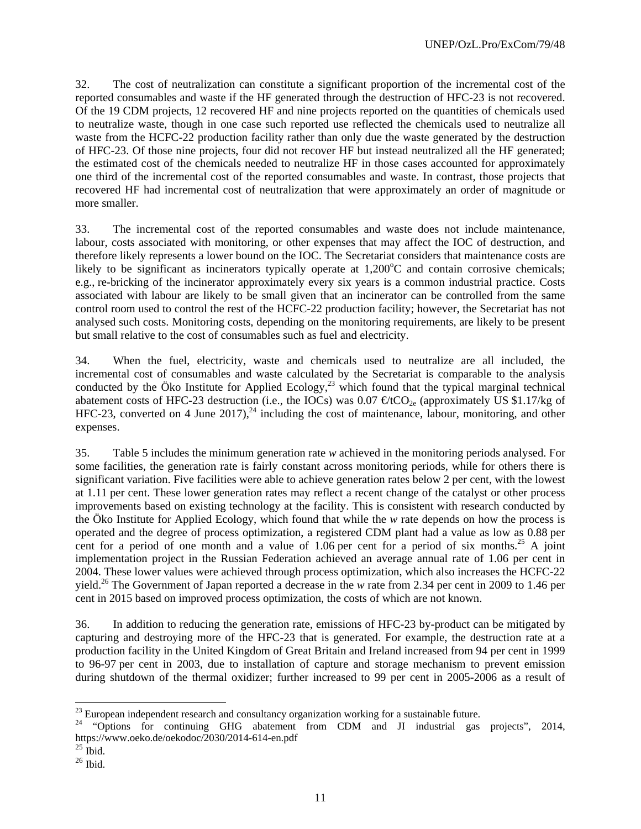32. The cost of neutralization can constitute a significant proportion of the incremental cost of the reported consumables and waste if the HF generated through the destruction of HFC-23 is not recovered. Of the 19 CDM projects, 12 recovered HF and nine projects reported on the quantities of chemicals used to neutralize waste, though in one case such reported use reflected the chemicals used to neutralize all waste from the HCFC-22 production facility rather than only due the waste generated by the destruction of HFC-23. Of those nine projects, four did not recover HF but instead neutralized all the HF generated; the estimated cost of the chemicals needed to neutralize HF in those cases accounted for approximately one third of the incremental cost of the reported consumables and waste. In contrast, those projects that recovered HF had incremental cost of neutralization that were approximately an order of magnitude or more smaller.

33. The incremental cost of the reported consumables and waste does not include maintenance, labour, costs associated with monitoring, or other expenses that may affect the IOC of destruction, and therefore likely represents a lower bound on the IOC. The Secretariat considers that maintenance costs are likely to be significant as incinerators typically operate at  $1,200^{\circ}$ C and contain corrosive chemicals; e.g., re-bricking of the incinerator approximately every six years is a common industrial practice. Costs associated with labour are likely to be small given that an incinerator can be controlled from the same control room used to control the rest of the HCFC-22 production facility; however, the Secretariat has not analysed such costs. Monitoring costs, depending on the monitoring requirements, are likely to be present but small relative to the cost of consumables such as fuel and electricity.

34. When the fuel, electricity, waste and chemicals used to neutralize are all included, the incremental cost of consumables and waste calculated by the Secretariat is comparable to the analysis conducted by the Öko Institute for Applied Ecology,<sup>23</sup> which found that the typical marginal technical abatement costs of HFC-23 destruction (i.e., the IOCs) was 0.07  $\text{EtCO}_{2e}$  (approximately US \$1.17/kg of HFC-23, converted on 4 June 2017),  $^{24}$  including the cost of maintenance, labour, monitoring, and other expenses.

35. Table 5 includes the minimum generation rate *w* achieved in the monitoring periods analysed. For some facilities, the generation rate is fairly constant across monitoring periods, while for others there is significant variation. Five facilities were able to achieve generation rates below 2 per cent, with the lowest at 1.11 per cent. These lower generation rates may reflect a recent change of the catalyst or other process improvements based on existing technology at the facility. This is consistent with research conducted by the Öko Institute for Applied Ecology, which found that while the *w* rate depends on how the process is operated and the degree of process optimization, a registered CDM plant had a value as low as 0.88 per cent for a period of one month and a value of 1.06 per cent for a period of six months.<sup>25</sup> A joint implementation project in the Russian Federation achieved an average annual rate of 1.06 per cent in 2004. These lower values were achieved through process optimization, which also increases the HCFC-22 yield.26 The Government of Japan reported a decrease in the *w* rate from 2.34 per cent in 2009 to 1.46 per cent in 2015 based on improved process optimization, the costs of which are not known.

36. In addition to reducing the generation rate, emissions of HFC-23 by-product can be mitigated by capturing and destroying more of the HFC-23 that is generated. For example, the destruction rate at a production facility in the United Kingdom of Great Britain and Ireland increased from 94 per cent in 1999 to 96-97 per cent in 2003, due to installation of capture and storage mechanism to prevent emission during shutdown of the thermal oxidizer; further increased to 99 per cent in 2005-2006 as a result of

l  $23$  European independent research and consultancy organization working for a sustainable future.

<sup>&</sup>lt;sup>24</sup> "Options for continuing GHG abatement from CDM and JI industrial gas projects", 2014, https://www.oeko.de/oekodoc/2030/2014-614-en.pdf

 $25$  Ibid.

 $26$  Ibid.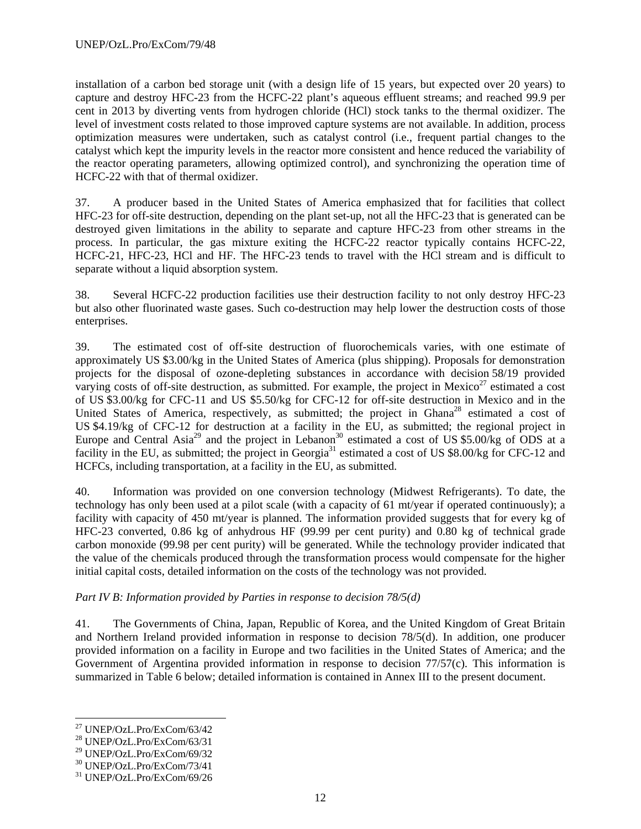installation of a carbon bed storage unit (with a design life of 15 years, but expected over 20 years) to capture and destroy HFC-23 from the HCFC-22 plant's aqueous effluent streams; and reached 99.9 per cent in 2013 by diverting vents from hydrogen chloride (HCl) stock tanks to the thermal oxidizer. The level of investment costs related to those improved capture systems are not available. In addition, process optimization measures were undertaken, such as catalyst control (i.e., frequent partial changes to the catalyst which kept the impurity levels in the reactor more consistent and hence reduced the variability of the reactor operating parameters, allowing optimized control), and synchronizing the operation time of HCFC-22 with that of thermal oxidizer.

37. A producer based in the United States of America emphasized that for facilities that collect HFC-23 for off-site destruction, depending on the plant set-up, not all the HFC-23 that is generated can be destroyed given limitations in the ability to separate and capture HFC-23 from other streams in the process. In particular, the gas mixture exiting the HCFC-22 reactor typically contains HCFC-22, HCFC-21, HFC-23, HCl and HF. The HFC-23 tends to travel with the HCl stream and is difficult to separate without a liquid absorption system.

38. Several HCFC-22 production facilities use their destruction facility to not only destroy HFC-23 but also other fluorinated waste gases. Such co-destruction may help lower the destruction costs of those enterprises.

39. The estimated cost of off-site destruction of fluorochemicals varies, with one estimate of approximately US \$3.00/kg in the United States of America (plus shipping). Proposals for demonstration projects for the disposal of ozone-depleting substances in accordance with decision 58/19 provided varying costs of off-site destruction, as submitted. For example, the project in Mexico<sup>27</sup> estimated a cost of US \$3.00/kg for CFC-11 and US \$5.50/kg for CFC-12 for off-site destruction in Mexico and in the United States of America, respectively, as submitted; the project in Ghana<sup>28</sup> estimated a cost of US \$4.19/kg of CFC-12 for destruction at a facility in the EU, as submitted; the regional project in Europe and Central Asia<sup>29</sup> and the project in Lebanon<sup>30</sup> estimated a cost of US \$5.00/kg of ODS at a facility in the EU, as submitted; the project in Georgia<sup>31</sup> estimated a cost of US \$8.00/kg for CFC-12 and HCFCs, including transportation, at a facility in the EU, as submitted.

40. Information was provided on one conversion technology (Midwest Refrigerants). To date, the technology has only been used at a pilot scale (with a capacity of 61 mt/year if operated continuously); a facility with capacity of 450 mt/year is planned. The information provided suggests that for every kg of HFC-23 converted, 0.86 kg of anhydrous HF (99.99 per cent purity) and 0.80 kg of technical grade carbon monoxide (99.98 per cent purity) will be generated. While the technology provider indicated that the value of the chemicals produced through the transformation process would compensate for the higher initial capital costs, detailed information on the costs of the technology was not provided.

### *Part IV B: Information provided by Parties in response to decision 78/5(d)*

41. The Governments of China, Japan, Republic of Korea, and the United Kingdom of Great Britain and Northern Ireland provided information in response to decision 78/5(d). In addition, one producer provided information on a facility in Europe and two facilities in the United States of America; and the Government of Argentina provided information in response to decision 77/57(c). This information is summarized in Table 6 below; detailed information is contained in Annex III to the present document.

<sup>1</sup> 27 UNEP/OzL.Pro/ExCom/63/42

<sup>28</sup> UNEP/OzL.Pro/ExCom/63/31

<sup>29</sup> UNEP/OzL.Pro/ExCom/69/32

<sup>30</sup> UNEP/OzL.Pro/ExCom/73/41

<sup>31</sup> UNEP/OzL.Pro/ExCom/69/26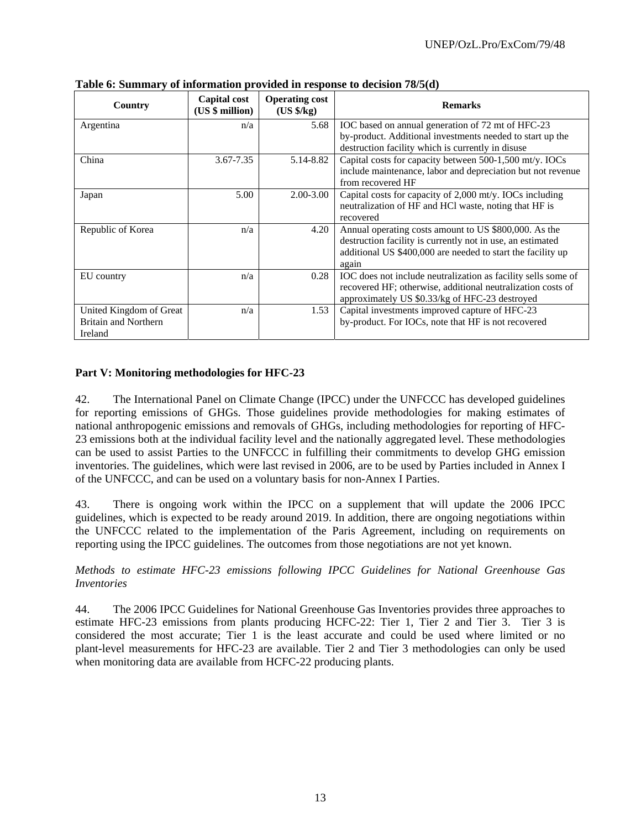| Country                     | <b>Capital cost</b><br>(US \$ million) | <b>Operating cost</b><br>$(US \frac{6}{5}kg)$ | <b>Remarks</b>                                                |
|-----------------------------|----------------------------------------|-----------------------------------------------|---------------------------------------------------------------|
| Argentina                   | n/a                                    | 5.68                                          | IOC based on annual generation of 72 mt of HFC-23             |
|                             |                                        |                                               | by-product. Additional investments needed to start up the     |
|                             |                                        |                                               | destruction facility which is currently in disuse             |
| China                       | 3.67-7.35                              | 5.14-8.82                                     | Capital costs for capacity between 500-1,500 mt/y. IOCs       |
|                             |                                        |                                               | include maintenance, labor and depreciation but not revenue   |
|                             |                                        |                                               | from recovered HF                                             |
| Japan                       | 5.00                                   | $2.00 - 3.00$                                 | Capital costs for capacity of 2,000 mt/y. IOCs including      |
|                             |                                        |                                               | neutralization of HF and HCl waste, noting that HF is         |
|                             |                                        |                                               | recovered                                                     |
| Republic of Korea           | n/a                                    | 4.20                                          | Annual operating costs amount to US \$800,000. As the         |
|                             |                                        |                                               | destruction facility is currently not in use, an estimated    |
|                             |                                        |                                               | additional US \$400,000 are needed to start the facility up   |
|                             |                                        |                                               | again                                                         |
| EU country                  | n/a                                    | 0.28                                          | IOC does not include neutralization as facility sells some of |
|                             |                                        |                                               | recovered HF; otherwise, additional neutralization costs of   |
|                             |                                        |                                               | approximately US \$0.33/kg of HFC-23 destroyed                |
| United Kingdom of Great     | n/a                                    | 1.53                                          | Capital investments improved capture of HFC-23                |
| <b>Britain and Northern</b> |                                        |                                               | by-product. For IOCs, note that HF is not recovered           |
| Ireland                     |                                        |                                               |                                                               |

### **Part V: Monitoring methodologies for HFC-23**

42. The International Panel on Climate Change (IPCC) under the UNFCCC has developed guidelines for reporting emissions of GHGs. Those guidelines provide methodologies for making estimates of national anthropogenic emissions and removals of GHGs, including methodologies for reporting of HFC-23 emissions both at the individual facility level and the nationally aggregated level. These methodologies can be used to assist Parties to the UNFCCC in fulfilling their commitments to develop GHG emission inventories. The guidelines, which were last revised in 2006, are to be used by Parties included in Annex I of the UNFCCC, and can be used on a voluntary basis for non-Annex I Parties.

43. There is ongoing work within the IPCC on a supplement that will update the 2006 IPCC guidelines, which is expected to be ready around 2019. In addition, there are ongoing negotiations within the UNFCCC related to the implementation of the Paris Agreement, including on requirements on reporting using the IPCC guidelines. The outcomes from those negotiations are not yet known.

### *Methods to estimate HFC-23 emissions following IPCC Guidelines for National Greenhouse Gas Inventories*

44. The 2006 IPCC Guidelines for National Greenhouse Gas Inventories provides three approaches to estimate HFC-23 emissions from plants producing HCFC-22: Tier 1, Tier 2 and Tier 3. Tier 3 is considered the most accurate; Tier 1 is the least accurate and could be used where limited or no plant-level measurements for HFC-23 are available. Tier 2 and Tier 3 methodologies can only be used when monitoring data are available from HCFC-22 producing plants.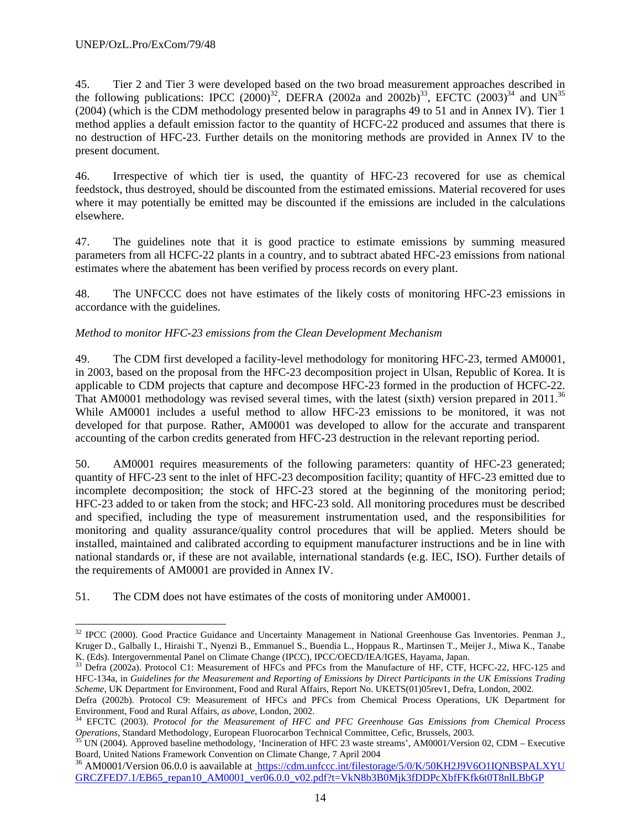l

45. Tier 2 and Tier 3 were developed based on the two broad measurement approaches described in the following publications: IPCC  $(2000)^{32}$ , DEFRA  $(2002a$  and  $2002b)^{33}$ , EFCTC  $(2003)^{34}$  and UN<sup>35</sup> (2004) (which is the CDM methodology presented below in paragraphs 49 to 51 and in Annex IV). Tier 1 method applies a default emission factor to the quantity of HCFC-22 produced and assumes that there is no destruction of HFC-23. Further details on the monitoring methods are provided in Annex IV to the present document.

46. Irrespective of which tier is used, the quantity of HFC-23 recovered for use as chemical feedstock, thus destroyed, should be discounted from the estimated emissions. Material recovered for uses where it may potentially be emitted may be discounted if the emissions are included in the calculations elsewhere.

47. The guidelines note that it is good practice to estimate emissions by summing measured parameters from all HCFC-22 plants in a country, and to subtract abated HFC-23 emissions from national estimates where the abatement has been verified by process records on every plant.

48. The UNFCCC does not have estimates of the likely costs of monitoring HFC-23 emissions in accordance with the guidelines.

### *Method to monitor HFC-23 emissions from the Clean Development Mechanism*

49. The CDM first developed a facility-level methodology for monitoring HFC-23, termed AM0001, in 2003, based on the proposal from the HFC-23 decomposition project in Ulsan, Republic of Korea. It is applicable to CDM projects that capture and decompose HFC-23 formed in the production of HCFC-22. That AM0001 methodology was revised several times, with the latest (sixth) version prepared in 2011.<sup>36</sup> While AM0001 includes a useful method to allow HFC-23 emissions to be monitored, it was not developed for that purpose. Rather, AM0001 was developed to allow for the accurate and transparent accounting of the carbon credits generated from HFC-23 destruction in the relevant reporting period.

50. AM0001 requires measurements of the following parameters: quantity of HFC-23 generated; quantity of HFC-23 sent to the inlet of HFC-23 decomposition facility; quantity of HFC-23 emitted due to incomplete decomposition; the stock of HFC-23 stored at the beginning of the monitoring period; HFC-23 added to or taken from the stock; and HFC-23 sold. All monitoring procedures must be described and specified, including the type of measurement instrumentation used, and the responsibilities for monitoring and quality assurance/quality control procedures that will be applied. Meters should be installed, maintained and calibrated according to equipment manufacturer instructions and be in line with national standards or, if these are not available, international standards (e.g. IEC, ISO). Further details of the requirements of AM0001 are provided in Annex IV.

51. The CDM does not have estimates of the costs of monitoring under AM0001.

 $32$  IPCC (2000). Good Practice Guidance and Uncertainty Management in National Greenhouse Gas Inventories. Penman J., Kruger D., Galbally I., Hiraishi T., Nyenzi B., Emmanuel S., Buendia L., Hoppaus R., Martinsen T., Meijer J., Miwa K., Tanabe K. (Eds). Intergovernmental Panel on Climate Change (IPCC), IPCC/OECD/IEA/IGES, Hayama, Japan. 33 Defra (2002a). Protocol C1: Measurement of HFCs and PFCs from the Manufacture of HF, CTF, HCFC-22, HFC-125 and

HFC-134a, in *Guidelines for the Measurement and Reporting of Emissions by Direct Participants in the UK Emissions Trading Scheme*, UK Department for Environment, Food and Rural Affairs, Report No. UKETS(01)05rev1, Defra, London, 2002. Defra (2002b). Protocol C9: Measurement of HFCs and PFCs from Chemical Process Operations, UK Department for

Environment, Food and Rural Affairs, *as above*, London, 2002.<br><sup>34</sup> EFCTC (2003). *Protocol for the Measurement of HFC and PFC Greenhouse Gas Emissions from Chemical Process* 

Operations, Standard Methodology, European Fluorocarbon Technical Committee, Cefic, Brussels, 2003.<br><sup>35</sup> UN (2004). Approved baseline methodology, 'Incineration of HFC 23 waste streams', AM0001/Version 02, CDM – Executive

Board, United Nations Framework Convention on Climate Change, 7 April 2004<br><sup>36</sup> AM0001/Version 06.0.0 is aavailable at https://cdm.unfccc.int/filestorage/5/0/K/50KH2J9V6O1IQNBSPALXYU

GRCZFED7.1/EB65\_repan10\_AM0001\_ver06.0.0\_v02.pdf?t=VkN8b3B0Mjk3fDDPcXbfFKfk6t0T8nlLBbGP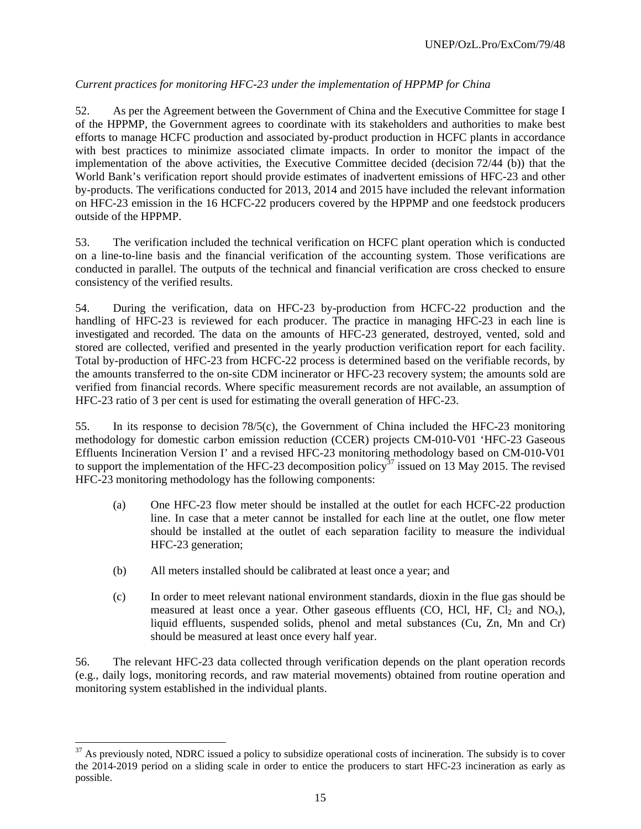# *Current practices for monitoring HFC-23 under the implementation of HPPMP for China*

52. As per the Agreement between the Government of China and the Executive Committee for stage I of the HPPMP, the Government agrees to coordinate with its stakeholders and authorities to make best efforts to manage HCFC production and associated by-product production in HCFC plants in accordance with best practices to minimize associated climate impacts. In order to monitor the impact of the implementation of the above activities, the Executive Committee decided (decision 72/44 (b)) that the World Bank's verification report should provide estimates of inadvertent emissions of HFC-23 and other by-products. The verifications conducted for 2013, 2014 and 2015 have included the relevant information on HFC-23 emission in the 16 HCFC-22 producers covered by the HPPMP and one feedstock producers outside of the HPPMP.

53. The verification included the technical verification on HCFC plant operation which is conducted on a line-to-line basis and the financial verification of the accounting system. Those verifications are conducted in parallel. The outputs of the technical and financial verification are cross checked to ensure consistency of the verified results.

54. During the verification, data on HFC-23 by-production from HCFC-22 production and the handling of HFC-23 is reviewed for each producer. The practice in managing HFC-23 in each line is investigated and recorded. The data on the amounts of HFC-23 generated, destroyed, vented, sold and stored are collected, verified and presented in the yearly production verification report for each facility. Total by-production of HFC-23 from HCFC-22 process is determined based on the verifiable records, by the amounts transferred to the on-site CDM incinerator or HFC-23 recovery system; the amounts sold are verified from financial records. Where specific measurement records are not available, an assumption of HFC-23 ratio of 3 per cent is used for estimating the overall generation of HFC-23.

55. In its response to decision 78/5(c), the Government of China included the HFC-23 monitoring methodology for domestic carbon emission reduction (CCER) projects CM-010-V01 'HFC-23 Gaseous Effluents Incineration Version I' and a revised HFC-23 monitoring methodology based on CM-010-V01 to support the implementation of the HFC-23 decomposition policy<sup>37</sup> issued on 13 May 2015. The revised HFC-23 monitoring methodology has the following components:

- (a) One HFC-23 flow meter should be installed at the outlet for each HCFC-22 production line. In case that a meter cannot be installed for each line at the outlet, one flow meter should be installed at the outlet of each separation facility to measure the individual HFC-23 generation;
- (b) All meters installed should be calibrated at least once a year; and

1

(c) In order to meet relevant national environment standards, dioxin in the flue gas should be measured at least once a year. Other gaseous effluents (CO, HCl, HF,  $Cl_2$  and  $NO_x$ ), liquid effluents, suspended solids, phenol and metal substances (Cu, Zn, Mn and Cr) should be measured at least once every half year.

56. The relevant HFC-23 data collected through verification depends on the plant operation records (e.g., daily logs, monitoring records, and raw material movements) obtained from routine operation and monitoring system established in the individual plants.

 $37$  As previously noted, NDRC issued a policy to subsidize operational costs of incineration. The subsidy is to cover the 2014-2019 period on a sliding scale in order to entice the producers to start HFC-23 incineration as early as possible.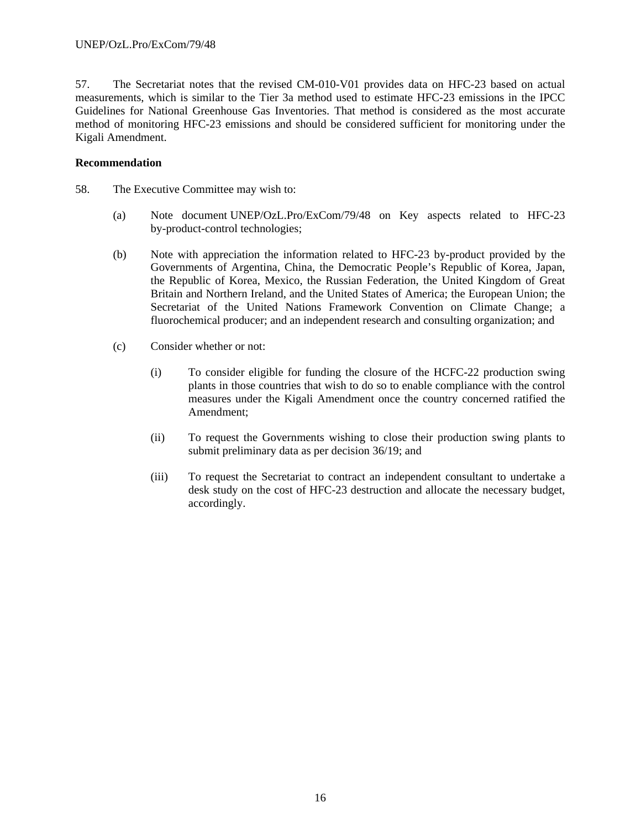57. The Secretariat notes that the revised CM-010-V01 provides data on HFC-23 based on actual measurements, which is similar to the Tier 3a method used to estimate HFC-23 emissions in the IPCC Guidelines for National Greenhouse Gas Inventories. That method is considered as the most accurate method of monitoring HFC-23 emissions and should be considered sufficient for monitoring under the Kigali Amendment.

### **Recommendation**

- 58. The Executive Committee may wish to:
	- (a) Note document UNEP/OzL.Pro/ExCom/79/48 on Key aspects related to HFC-23 by-product-control technologies;
	- (b) Note with appreciation the information related to HFC-23 by-product provided by the Governments of Argentina, China, the Democratic People's Republic of Korea, Japan, the Republic of Korea, Mexico, the Russian Federation, the United Kingdom of Great Britain and Northern Ireland, and the United States of America; the European Union; the Secretariat of the United Nations Framework Convention on Climate Change; a fluorochemical producer; and an independent research and consulting organization; and
	- (c) Consider whether or not:
		- (i) To consider eligible for funding the closure of the HCFC-22 production swing plants in those countries that wish to do so to enable compliance with the control measures under the Kigali Amendment once the country concerned ratified the Amendment;
		- (ii) To request the Governments wishing to close their production swing plants to submit preliminary data as per decision 36/19; and
		- (iii) To request the Secretariat to contract an independent consultant to undertake a desk study on the cost of HFC-23 destruction and allocate the necessary budget, accordingly.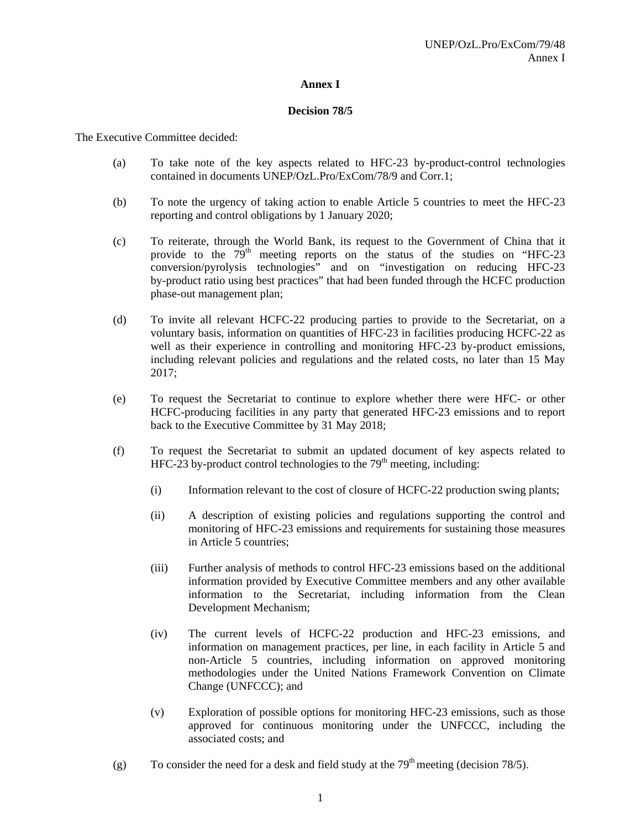### **Annex I**

#### **Decision 78/5**

The Executive Committee decided:

- (a) To take note of the key aspects related to HFC-23 by-product-control technologies contained in documents UNEP/OzL.Pro/ExCom/78/9 and Corr.1;
- (b) To note the urgency of taking action to enable Article 5 countries to meet the HFC-23 reporting and control obligations by 1 January 2020;
- (c) To reiterate, through the World Bank, its request to the Government of China that it provide to the  $79<sup>th</sup>$  meeting reports on the status of the studies on "HFC-23 conversion/pyrolysis technologies" and on "investigation on reducing HFC-23 by-product ratio using best practices" that had been funded through the HCFC production phase-out management plan;
- (d) To invite all relevant HCFC-22 producing parties to provide to the Secretariat, on a voluntary basis, information on quantities of HFC-23 in facilities producing HCFC-22 as well as their experience in controlling and monitoring HFC-23 by-product emissions, including relevant policies and regulations and the related costs, no later than 15 May 2017;
- (e) To request the Secretariat to continue to explore whether there were HFC- or other HCFC-producing facilities in any party that generated HFC-23 emissions and to report back to the Executive Committee by 31 May 2018;
- (f) To request the Secretariat to submit an updated document of key aspects related to HFC-23 by-product control technologies to the  $79<sup>th</sup>$  meeting, including:
	- (i) Information relevant to the cost of closure of HCFC-22 production swing plants;
	- (ii) A description of existing policies and regulations supporting the control and monitoring of HFC-23 emissions and requirements for sustaining those measures in Article 5 countries;
	- (iii) Further analysis of methods to control HFC-23 emissions based on the additional information provided by Executive Committee members and any other available information to the Secretariat, including information from the Clean Development Mechanism;
	- (iv) The current levels of HCFC-22 production and HFC-23 emissions, and information on management practices, per line, in each facility in Article 5 and non-Article 5 countries, including information on approved monitoring methodologies under the United Nations Framework Convention on Climate Change (UNFCCC); and
	- (v) Exploration of possible options for monitoring HFC-23 emissions, such as those approved for continuous monitoring under the UNFCCC, including the associated costs; and
- (g) To consider the need for a desk and field study at the  $79<sup>th</sup>$  meeting (decision 78/5).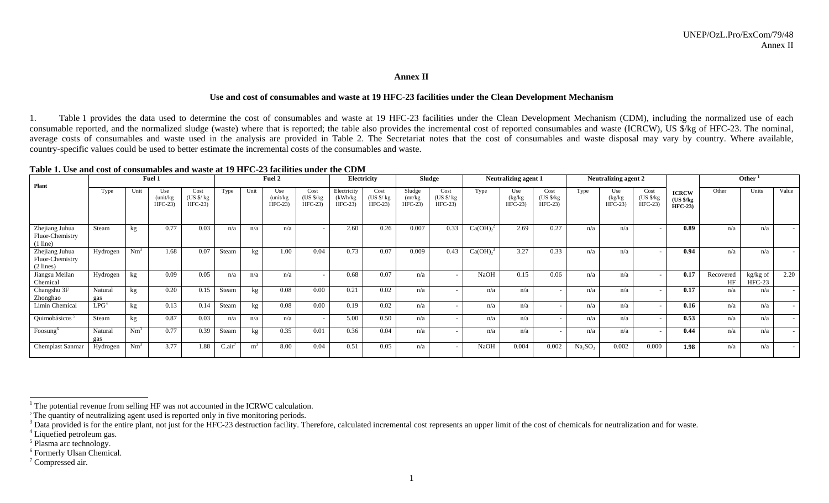#### **Annex II**

### **Use and cost of consumables and waste at 19 HFC-23 facilities under the Clean Development Mechanism**

1.Table 1 provides the data used to determine the cost of consumables and waste at 19 HFC-23 facilities under the Clean Development Mechanism (CDM), including the normalized use of each consumable reported, and the normalized sludge (waste) where that is reported; the table also provides the incremental cost of reported consumables and waste (ICRCW), US  $\overline{\$kg$$  of HFC-23. The nominal, average costs of consumables and waste used in the analysis are provided in Table 2. The Secretariat notes that the cost of consumables and waste disposal may vary by country. Where available, country-specific values could be used to better estimate the incremental costs of the consumables and waste.

| Plant                                                   |                  |                 | Fuel 1                       |                                                   | Fuel 2   |                |                              | Electricity                   |                                     | <b>Sludge</b>                                     |                              | <b>Neutralizing agent 1</b>                       |                                  |                            | Neutralizing agent 2          |                                 |                            | Other                                   |                                               |                 |                      |       |
|---------------------------------------------------------|------------------|-----------------|------------------------------|---------------------------------------------------|----------|----------------|------------------------------|-------------------------------|-------------------------------------|---------------------------------------------------|------------------------------|---------------------------------------------------|----------------------------------|----------------------------|-------------------------------|---------------------------------|----------------------------|-----------------------------------------|-----------------------------------------------|-----------------|----------------------|-------|
|                                                         | Type             | Unit            | Use<br>(unit/kg)<br>$HFC-23$ | Cost<br>$(US \frac{6}{3} \text{ kg})$<br>$HFC-23$ | Type     | Unit           | Use<br>(unit/kg)<br>$HFC-23$ | Cost<br>(US \$/kg<br>$HFC-23$ | Electricity<br>(kWh/kg)<br>$HFC-23$ | Cost<br>$(US \frac{6}{3} \text{ kg})$<br>$HFC-23$ | Sludge<br>(mt/kg<br>$HFC-23$ | Cost<br>$(US \frac{6}{3} \text{ kg})$<br>$HFC-23$ | Type                             | Use<br>(kg/kg)<br>$HFC-23$ | Cost<br>(US \$/kg<br>$HFC-23$ | Type                            | Use<br>(kg/kg)<br>$HFC-23$ | Cost<br>$(US \frac{8}{kg})$<br>$HFC-23$ | <b>ICRCW</b><br>$(US \frac{6}{5}$<br>$HFC-23$ | Other           | Units                | Value |
| Zhejiang Juhua<br>Fluor-Chemistry<br>$(1 \text{ line})$ | Steam            | kg              | 0.77                         | 0.03                                              | n/a      | n/a            | n/a                          |                               | 2.60                                | 0.26                                              | 0.007                        | 0.33                                              | Ca(OH) <sub>2</sub> <sup>2</sup> | 2.69                       | 0.27                          | n/a                             | n/a                        |                                         | 0.89                                          | n/a             | n/a                  |       |
| Zhejiang Juhua<br>Fluor-Chemistry<br>$(2$ lines)        | Hydrogen         | Nm <sup>3</sup> | 1.68                         | 0.07                                              | Steam    | kg             | 1.00                         | 0.04                          | 0.73                                | 0.07                                              | 0.009                        | 0.43                                              | Ca(OH) <sub>2</sub>              | 3.27                       | 0.33                          | n/a                             | n/a                        |                                         | 0.94                                          | n/a             | n/a                  |       |
| Jiangsu Meilan<br>Chemical                              | Hydrogen         | kg              | 0.09                         | 0.05                                              | n/a      | n/a            | n/a                          |                               | 0.68                                | 0.07                                              | n/a                          |                                                   | <b>NaOH</b>                      | 0.15                       | 0.06                          | n/a                             | n/a                        |                                         | 0.17                                          | Recovered<br>HF | kg/kg of<br>$HFC-23$ | 2.20  |
| Changshu 3F<br>Zhonghao                                 | Natural<br>gas   | kg              | 0.20                         | 0.15                                              | Steam    | kg             | 0.08                         | 0.00                          | 0.21                                | 0.02                                              | n/a                          |                                                   | n/a                              | n/a                        |                               | n/a                             | n/a                        |                                         | 0.17                                          | n/a             | n/a                  |       |
| Limin Chemical                                          | LPG <sup>4</sup> | kg              | 0.13                         | 0.14                                              | Steam    | kg             | 0.08                         | 0.00                          | 0.19                                | 0.02                                              | n/a                          |                                                   | n/a                              | n/a                        |                               | n/a                             | n/a                        |                                         | 0.16                                          | n/a             | n/a                  |       |
| Quimobásicos <sup>5</sup>                               | Steam            | kg              | 0.87                         | 0.03                                              | n/a      | n/a            | n/a                          |                               | 5.00                                | 0.50                                              | n/a                          |                                                   | n/a                              | n/a                        |                               | n/a                             | n/a                        |                                         | 0.53                                          | n/a             | n/a                  |       |
| Foosung <sup>o</sup>                                    | Natural<br>gas   | $Nm^3$          | 0.77                         | 0.39                                              | Steam    | kg             | 0.35                         | 0.01                          | 0.36                                | 0.04                                              | n/a                          |                                                   | n/a                              | n/a                        |                               | n/a                             | n/a                        |                                         | 0.44                                          | n/a             | n/a                  |       |
| <b>Chemplast Sanmar</b>                                 | Hydrogen         | $Nm^3$          | 3.77                         | 1.88                                              | $C.$ air | m <sup>3</sup> | 8.00                         | 0.04                          | 0.51                                | 0.05                                              | n/a                          |                                                   | <b>NaOH</b>                      | 0.004                      | 0.002                         | Na <sub>2</sub> SO <sub>3</sub> | 0.002                      | 0.000                                   | 1.98                                          | n/a             | n/a                  |       |

#### **Table 1. Use and cost of consumables and waste at 19 HFC-23 facilities under the CDM**

<sup>&</sup>lt;sup>1</sup> The potential revenue from selling HF was not accounted in the ICRWC calculation.

<sup>2</sup> The quantity of neutralizing agent used is reported only in five monitoring periods.

<sup>&</sup>lt;sup>3</sup> Data provided is for the entire plant, not just for the HFC-23 destruction facility. Therefore, calculated incremental cost represents an upper limit of the cost of chemicals for neutralization and for waste.

<sup>&</sup>lt;sup>4</sup> Liquefied petroleum gas.

<sup>&</sup>lt;sup>5</sup> Plasma arc technology.

<sup>6</sup> Formerly Ulsan Chemical.

<sup>7</sup> Compressed air.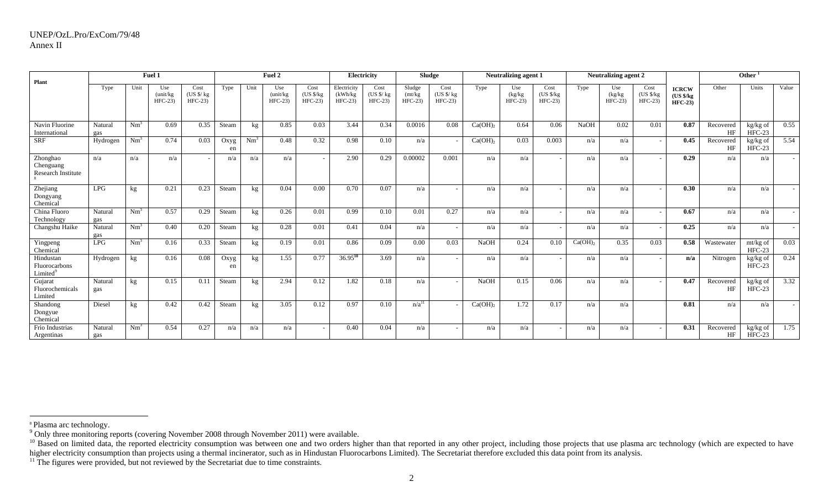| Plant                                              | Fuel 1         |        |                              |                                 | Fuel 2     |                 |                              |                               | Electricity                         |                                                   | Sludge                       |                                 | Neutralizing agent 1 |                            |                               | Neutralizing agent 2 |                            |                               |                                              |                 | Other                |        |
|----------------------------------------------------|----------------|--------|------------------------------|---------------------------------|------------|-----------------|------------------------------|-------------------------------|-------------------------------------|---------------------------------------------------|------------------------------|---------------------------------|----------------------|----------------------------|-------------------------------|----------------------|----------------------------|-------------------------------|----------------------------------------------|-----------------|----------------------|--------|
|                                                    | Type           | Unit   | Use<br>(unit/kg)<br>$HFC-23$ | Cost<br>(US \$/ kg)<br>$HFC-23$ | Type       | Unit            | Use<br>(unit/kg)<br>$HFC-23$ | Cost<br>(US \$/kg<br>$HFC-23$ | Electricity<br>(kWh/kg)<br>$HFC-23$ | Cost<br>$(US \frac{6}{3} \text{ kg})$<br>$HFC-23$ | Sludge<br>(mt/kg<br>$HFC-23$ | Cost<br>(US \$/ kg)<br>$HFC-23$ | Type                 | Use<br>(kg/kg)<br>$HFC-23$ | Cost<br>(US \$/kg<br>$HFC-23$ | Type                 | Use<br>(kg/kg)<br>$HFC-23$ | Cost<br>(US \$/kg<br>$HFC-23$ | <b>ICRCW</b><br>(US \$/kg)<br><b>HFC-23)</b> | Other           | Units                | Value  |
| Navin Fluorine<br>International                    | Natural<br>gas | $Nm^3$ | 0.69                         | 0.35                            | Steam      | kg              | 0.85                         | 0.03                          | 3.44                                | 0.34                                              | 0.0016                       | 0.08                            | Ca(OH)               | 0.64                       | 0.06                          | NaOH                 | 0.02                       | 0.01                          | 0.87                                         | Recovered<br>HF | kg/kg of<br>$HFC-23$ | 0.55   |
| <b>SRF</b>                                         | Hydrogen       | $Nm^3$ | 0.74                         | 0.03                            | Oxyg<br>en | Nm <sup>3</sup> | 0.48                         | 0.32                          | 0.98                                | 0.10                                              | n/a                          |                                 | Ca(OH)               | 0.03                       | 0.003                         | n/a                  | n/a                        |                               | 0.45                                         | Recovered<br>HF | kg/kg of<br>$HFC-23$ | 5.54   |
| Zhonghao<br>Chenguang<br>Research Institute        | n/a            | n/a    | n/a                          |                                 | n/a        | n/a             | n/a                          |                               | 2.90                                | 0.29                                              | 0.00002                      | 0.001                           | n/a                  | n/a                        |                               | n/a                  | n/a                        |                               | 0.29                                         | n/a             | n/a                  | $\sim$ |
| Zhejiang<br>Dongyang<br>Chemical                   | LPG            | kg     | 0.21                         | 0.23                            | Steam      | kg <sub>2</sub> | 0.04                         | 0.00                          | 0.70                                | 0.07                                              | n/a                          |                                 | n/a                  | n/a                        | $\overline{\phantom{a}}$      | n/a                  | n/a                        |                               | 0.30                                         | n/a             | n/a                  |        |
| China Fluoro<br>Technology                         | Natural<br>gas | $Nm^3$ | 0.57                         | 0.29                            | Steam      | kg <sub>2</sub> | 0.26                         | 0.01                          | 0.99                                | 0.10                                              | 0.01                         | 0.27                            | n/a                  | n/a                        | $\sim$                        | n/a                  | n/a                        |                               | 0.67                                         | n/a             | n/a                  |        |
| Changshu Haike                                     | Natural<br>gas | $Nm^3$ | 0.40                         | 0.20                            | Steam      | kg              | 0.28                         | 0.01                          | 0.41                                | 0.04                                              | n/a                          |                                 | n/a                  | n/a                        | $\sim$                        | n/a                  | n/a                        |                               | 0.25                                         | n/a             | n/a                  |        |
| Yingpeng<br>Chemical                               | LPG            | $Nm^3$ | 0.16                         | 0.33                            | Steam      | kg              | 0.19                         | 0.01                          | 0.86                                | 0.09                                              | 0.00                         | 0.03                            | NaOH                 | 0.24                       | 0.10                          | Ca(OH) <sub>2</sub>  | 0.35                       | 0.03                          | 0.58                                         | Wastewater      | mt/kg of<br>$HFC-23$ | 0.03   |
| Hindustan<br>Fluorocarbons<br>Limited <sup>9</sup> | Hydrogen       | kg     | 0.16                         | 0.08                            | Oxyg<br>en | kg              | 1.55                         | 0.77                          | $36.95^{10}$                        | 3.69                                              | n/a                          |                                 | n/a                  | n/a                        | $\overline{\phantom{a}}$      | n/a                  | n/a                        |                               | n/a                                          | Nitrogen        | kg/kg of<br>$HFC-23$ | 0.24   |
| Gujarat<br>Fluorochemicals<br>Limited              | Natural<br>gas | kg     | 0.15                         | 0.11                            | Steam      | kg              | 2.94                         | 0.12                          | 1.82                                | 0.18                                              | n/a                          |                                 | <b>NaOH</b>          | 0.15                       | 0.06                          | n/a                  | n/a                        |                               | 0.47                                         | Recovered<br>HF | kg/kg of<br>$HFC-23$ | 3.32   |
| Shandong<br>Dongyue<br>Chemical                    | Diesel         | kg     | 0.42                         | 0.42                            | Steam      | kg              | 3.05                         | 0.12                          | 0.97                                | 0.10                                              | n/a <sup>11</sup>            |                                 | Ca(OH)               | 1.72                       | 0.17                          | n/a                  | n/a                        |                               | 0.81                                         | n/a             | n/a                  |        |
| Frio Industrias<br>Argentinas                      | Natural<br>gas | $Nm^3$ | 0.54                         | 0.27                            | n/a        | n/a             | n/a                          |                               | 0.40                                | 0.04                                              | n/a                          |                                 | n/a                  | n/a                        | $\overline{\phantom{a}}$      | n/a                  | n/a                        |                               | 0.31                                         | Recovered<br>HF | kg/kg of<br>$HFC-23$ | 1.75   |

<sup>&</sup>lt;sup>8</sup> Plasma arc technology.

 $9^9$  Only three monitoring reports (covering November 2008 through November 2011) were available.

<sup>&</sup>lt;sup>10</sup> Based on limited data, the reported electricity consumption was between one and two orders higher than that reported in any other project, including those projects that use plasma arc technology (which are expected to higher electricity consumption than projects using a thermal incinerator, such as in Hindustan Fluorocarbons Limited). The Secretariat therefore excluded this data point from its analysis.

 $11$  The figures were provided, but not reviewed by the Secretariat due to time constraints.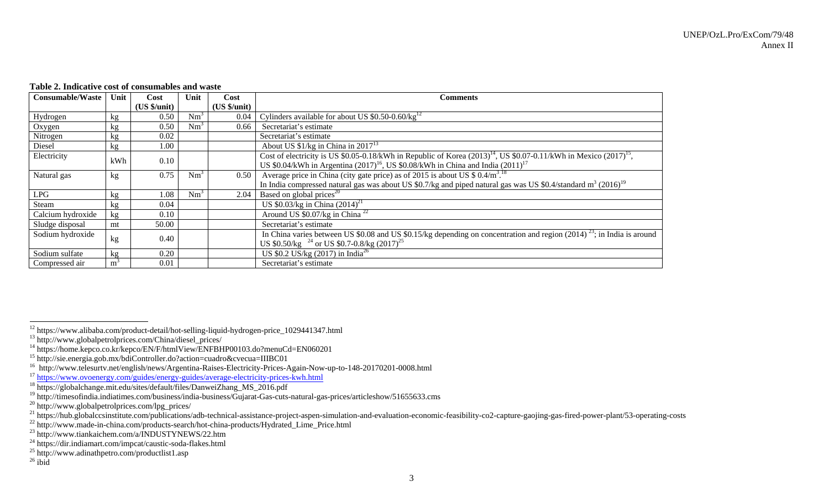| <b>Consumable/Waste</b> | Unit           | Cost         | Unit   | Cost         | <b>Comments</b>                                                                                                                    |
|-------------------------|----------------|--------------|--------|--------------|------------------------------------------------------------------------------------------------------------------------------------|
|                         |                | (US \$/unit) |        | (US \$/unit) |                                                                                                                                    |
| Hydrogen                | kg             | 0.50         | $Nm^3$ | 0.04         | Cylinders available for about US $$0.50-0.60/kg^{12}$                                                                              |
| Oxygen                  | kg             | 0.50         | $Nm^3$ | 0.66         | Secretariat's estimate                                                                                                             |
| Nitrogen                | kg             | 0.02         |        |              | Secretariat's estimate                                                                                                             |
| Diesel                  | kg             | 1.00         |        |              | About US $$1/kg$ in China in 2017 <sup>13</sup>                                                                                    |
| Electricity             | kWh            | 0.10         |        |              | Cost of electricity is US \$0.05-0.18/kWh in Republic of Korea $(2013)^{14}$ , US \$0.07-0.11/kWh in Mexico $(2017)^{15}$ ,        |
|                         |                |              |        |              | US \$0.04/kWh in Argentina (2017) <sup>16</sup> , US \$0.08/kWh in China and India (2011) <sup>17</sup>                            |
| Natural gas             | kg             | 0.75         | $Nm^3$ | 0.50         | Average price in China (city gate price) as of 2015 is about US $$0.4/m3.18$                                                       |
|                         |                |              |        |              | In India compressed natural gas was about US \$0.7/kg and piped natural gas was US \$0.4/standard $m^3$ (2016) <sup>19</sup>       |
| LPG                     | kg             | 1.08         | $Nm^3$ | 2.04         | Based on global prices <sup>20</sup>                                                                                               |
| Steam                   | kg             | 0.04         |        |              | US \$0.03/kg in China $(2014)^{21}$                                                                                                |
| Calcium hydroxide       | kg             | 0.10         |        |              | Around US \$0.07/kg in China <sup>22</sup>                                                                                         |
| Sludge disposal         | mt             | 50.00        |        |              | Secretariat's estimate                                                                                                             |
| Sodium hydroxide        |                | 0.40         |        |              | In China varies between US \$0.08 and US \$0.15/kg depending on concentration and region (2014) <sup>23</sup> ; in India is around |
|                         | kg             |              |        |              | US \$0.50/kg $^{24}$ or US \$0.7-0.8/kg (2017) <sup>25</sup>                                                                       |
| Sodium sulfate          | kg             | 0.20         |        |              | US \$0.2 US/kg $(2017)$ in India <sup>26</sup>                                                                                     |
| Compressed air          | m <sup>2</sup> | 0.01         |        |              | Secretariat's estimate                                                                                                             |

#### **Table 2. Indicative cost of consumables and waste**

<sup>&</sup>lt;sup>12</sup> https://www.alibaba.com/product-detail/hot-selling-liquid-hydrogen-price\_1029441347.html

<sup>&</sup>lt;sup>13</sup> http://www.globalpetrolprices.com/China/diesel\_prices/

<sup>&</sup>lt;sup>14</sup> https://home.kepco.co.kr/kepco/EN/F/htmlView/ENFBHP00103.do?menuCd=EN060201

<sup>&</sup>lt;sup>15</sup> http://sie.energia.gob.mx/bdiController.do?action=cuadro&cvecua=IIIBC01

<sup>&</sup>lt;sup>16</sup> http://www.telesurtv.net/english/news/Argentina-Raises-Electricity-Prices-Again-Now-up-to-148-20170201-0008.html<br><sup>17</sup> https://www.ovoenergy.com/guides/energy-guides/average-electricity-prices-kwh.html

<sup>&</sup>lt;sup>18</sup> https://globalchange.mit.edu/sites/default/files/DanweiZhang\_MS\_2016.pdf

<sup>&</sup>lt;sup>19</sup> http://timesofindia.indiatimes.com/business/india-business/Gujarat-Gas-cuts-natural-gas-prices/articleshow/51655633.cms

<sup>20</sup> http://www.globalpetrolprices.com/lpg\_prices/

<sup>&</sup>lt;sup>21</sup> https://hub.globalccsinstitute.com/publications/adb-technical-assistance-project-aspen-simulation-and-evaluation-economic-feasibility-co2-capture-gaojing-gas-fired-power-plant/53-operating-costs

 $22$  http://www.made-in-china.com/products-search/hot-china-products/Hydrated\_Lime\_Price.html

<sup>&</sup>lt;sup>23</sup> http://www.tiankaichem.com/a/INDUSTYNEWS/22.htm

<sup>&</sup>lt;sup>24</sup> https://dir.indiamart.com/impcat/caustic-soda-flakes.html

 $25 \frac{\text{http://www.adinathpetro.com/productlist1.} \text{asp}}{25 \cdot \text{http://www.adinathpetro.com/productlist1.} \text{asp}}$ 

 $^{26}$  ibid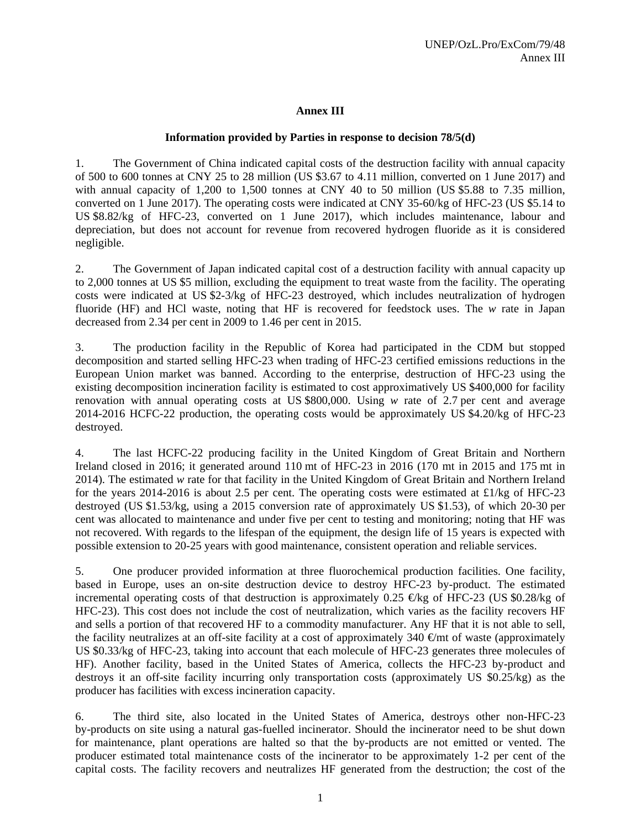### **Annex III**

### **Information provided by Parties in response to decision 78/5(d)**

1. The Government of China indicated capital costs of the destruction facility with annual capacity of 500 to 600 tonnes at CNY 25 to 28 million (US \$3.67 to 4.11 million, converted on 1 June 2017) and with annual capacity of 1,200 to 1,500 tonnes at CNY 40 to 50 million (US \$5.88 to 7.35 million, converted on 1 June 2017). The operating costs were indicated at CNY 35-60/kg of HFC-23 (US \$5.14 to US \$8.82/kg of HFC-23, converted on 1 June 2017), which includes maintenance, labour and depreciation, but does not account for revenue from recovered hydrogen fluoride as it is considered negligible.

2. The Government of Japan indicated capital cost of a destruction facility with annual capacity up to 2,000 tonnes at US \$5 million, excluding the equipment to treat waste from the facility. The operating costs were indicated at US \$2-3/kg of HFC-23 destroyed, which includes neutralization of hydrogen fluoride (HF) and HCl waste, noting that HF is recovered for feedstock uses. The *w* rate in Japan decreased from 2.34 per cent in 2009 to 1.46 per cent in 2015.

3. The production facility in the Republic of Korea had participated in the CDM but stopped decomposition and started selling HFC-23 when trading of HFC-23 certified emissions reductions in the European Union market was banned. According to the enterprise, destruction of HFC-23 using the existing decomposition incineration facility is estimated to cost approximatively US \$400,000 for facility renovation with annual operating costs at US \$800,000. Using *w* rate of 2.7 per cent and average 2014-2016 HCFC-22 production, the operating costs would be approximately US \$4.20/kg of HFC-23 destroyed.

4. The last HCFC-22 producing facility in the United Kingdom of Great Britain and Northern Ireland closed in 2016; it generated around 110 mt of HFC-23 in 2016 (170 mt in 2015 and 175 mt in 2014). The estimated *w* rate for that facility in the United Kingdom of Great Britain and Northern Ireland for the years 2014-2016 is about 2.5 per cent. The operating costs were estimated at £1/kg of HFC-23 destroyed (US \$1.53/kg, using a 2015 conversion rate of approximately US \$1.53), of which 20-30 per cent was allocated to maintenance and under five per cent to testing and monitoring; noting that HF was not recovered. With regards to the lifespan of the equipment, the design life of 15 years is expected with possible extension to 20-25 years with good maintenance, consistent operation and reliable services.

5. One producer provided information at three fluorochemical production facilities. One facility, based in Europe, uses an on-site destruction device to destroy HFC-23 by-product. The estimated incremental operating costs of that destruction is approximately 0.25  $\epsilon$ kg of HFC-23 (US \$0.28/kg of HFC-23). This cost does not include the cost of neutralization, which varies as the facility recovers HF and sells a portion of that recovered HF to a commodity manufacturer. Any HF that it is not able to sell, the facility neutralizes at an off-site facility at a cost of approximately  $340 \text{ } \infty$  mt of waste (approximately US \$0.33/kg of HFC-23, taking into account that each molecule of HFC-23 generates three molecules of HF). Another facility, based in the United States of America, collects the HFC-23 by-product and destroys it an off-site facility incurring only transportation costs (approximately US \$0.25/kg) as the producer has facilities with excess incineration capacity.

6. The third site, also located in the United States of America, destroys other non-HFC-23 by-products on site using a natural gas-fuelled incinerator. Should the incinerator need to be shut down for maintenance, plant operations are halted so that the by-products are not emitted or vented. The producer estimated total maintenance costs of the incinerator to be approximately 1-2 per cent of the capital costs. The facility recovers and neutralizes HF generated from the destruction; the cost of the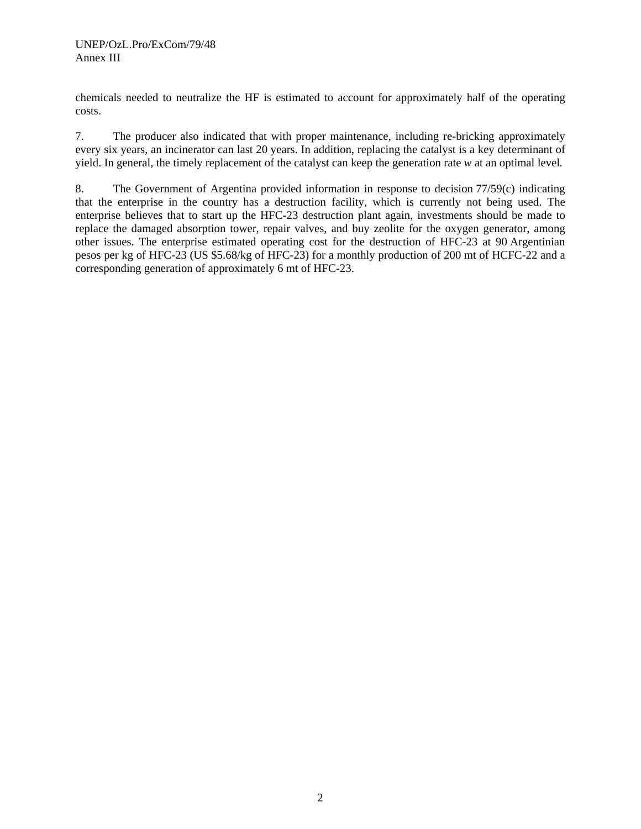chemicals needed to neutralize the HF is estimated to account for approximately half of the operating costs.

7. The producer also indicated that with proper maintenance, including re-bricking approximately every six years, an incinerator can last 20 years. In addition, replacing the catalyst is a key determinant of yield. In general, the timely replacement of the catalyst can keep the generation rate *w* at an optimal level*.* 

8. The Government of Argentina provided information in response to decision 77/59(c) indicating that the enterprise in the country has a destruction facility, which is currently not being used. The enterprise believes that to start up the HFC-23 destruction plant again, investments should be made to replace the damaged absorption tower, repair valves, and buy zeolite for the oxygen generator, among other issues. The enterprise estimated operating cost for the destruction of HFC-23 at 90 Argentinian pesos per kg of HFC-23 (US \$5.68/kg of HFC-23) for a monthly production of 200 mt of HCFC-22 and a corresponding generation of approximately 6 mt of HFC-23.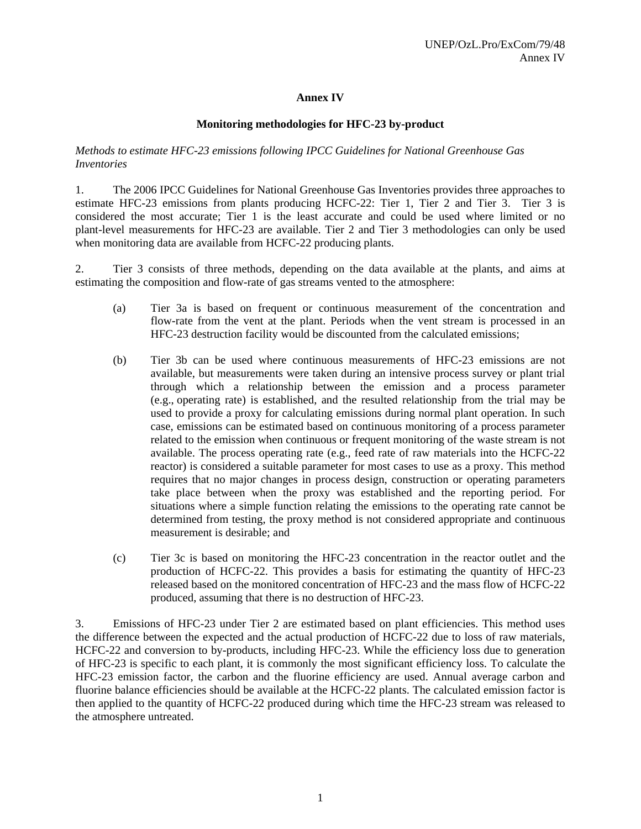### **Annex IV**

### **Monitoring methodologies for HFC-23 by-product**

### *Methods to estimate HFC-23 emissions following IPCC Guidelines for National Greenhouse Gas Inventories*

1. The 2006 IPCC Guidelines for National Greenhouse Gas Inventories provides three approaches to estimate HFC-23 emissions from plants producing HCFC-22: Tier 1, Tier 2 and Tier 3. Tier 3 is considered the most accurate; Tier 1 is the least accurate and could be used where limited or no plant-level measurements for HFC-23 are available. Tier 2 and Tier 3 methodologies can only be used when monitoring data are available from HCFC-22 producing plants.

2. Tier 3 consists of three methods, depending on the data available at the plants, and aims at estimating the composition and flow-rate of gas streams vented to the atmosphere:

- (a) Tier 3a is based on frequent or continuous measurement of the concentration and flow-rate from the vent at the plant. Periods when the vent stream is processed in an HFC-23 destruction facility would be discounted from the calculated emissions;
- (b) Tier 3b can be used where continuous measurements of HFC-23 emissions are not available, but measurements were taken during an intensive process survey or plant trial through which a relationship between the emission and a process parameter (e.g., operating rate) is established, and the resulted relationship from the trial may be used to provide a proxy for calculating emissions during normal plant operation. In such case, emissions can be estimated based on continuous monitoring of a process parameter related to the emission when continuous or frequent monitoring of the waste stream is not available. The process operating rate (e.g., feed rate of raw materials into the HCFC-22 reactor) is considered a suitable parameter for most cases to use as a proxy. This method requires that no major changes in process design, construction or operating parameters take place between when the proxy was established and the reporting period. For situations where a simple function relating the emissions to the operating rate cannot be determined from testing, the proxy method is not considered appropriate and continuous measurement is desirable; and
- (c) Tier 3c is based on monitoring the HFC-23 concentration in the reactor outlet and the production of HCFC-22. This provides a basis for estimating the quantity of HFC-23 released based on the monitored concentration of HFC-23 and the mass flow of HCFC-22 produced, assuming that there is no destruction of HFC-23.

3. Emissions of HFC-23 under Tier 2 are estimated based on plant efficiencies. This method uses the difference between the expected and the actual production of HCFC-22 due to loss of raw materials, HCFC-22 and conversion to by-products, including HFC-23. While the efficiency loss due to generation of HFC-23 is specific to each plant, it is commonly the most significant efficiency loss. To calculate the HFC-23 emission factor, the carbon and the fluorine efficiency are used. Annual average carbon and fluorine balance efficiencies should be available at the HCFC-22 plants. The calculated emission factor is then applied to the quantity of HCFC-22 produced during which time the HFC-23 stream was released to the atmosphere untreated.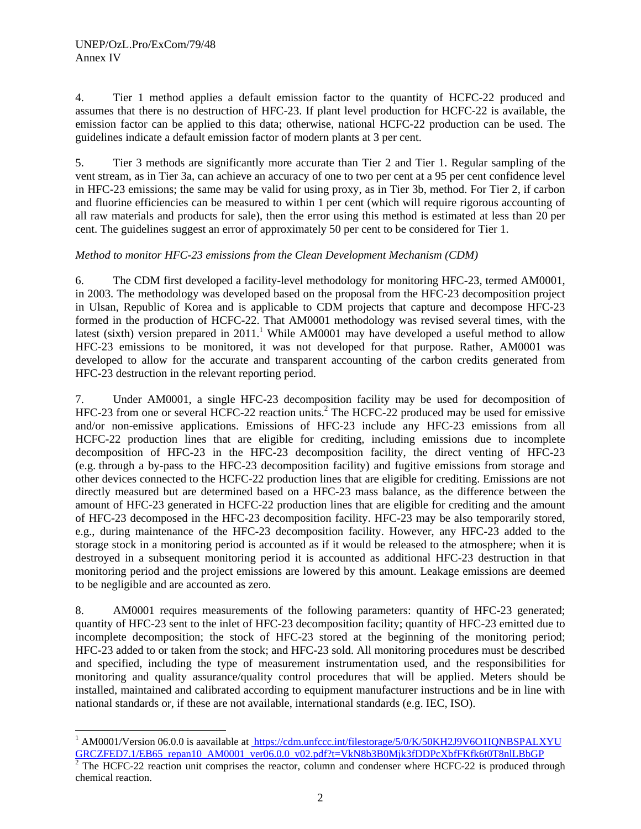l

4. Tier 1 method applies a default emission factor to the quantity of HCFC-22 produced and assumes that there is no destruction of HFC-23. If plant level production for HCFC-22 is available, the emission factor can be applied to this data; otherwise, national HCFC-22 production can be used. The guidelines indicate a default emission factor of modern plants at 3 per cent.

5. Tier 3 methods are significantly more accurate than Tier 2 and Tier 1. Regular sampling of the vent stream, as in Tier 3a, can achieve an accuracy of one to two per cent at a 95 per cent confidence level in HFC-23 emissions; the same may be valid for using proxy, as in Tier 3b, method. For Tier 2, if carbon and fluorine efficiencies can be measured to within 1 per cent (which will require rigorous accounting of all raw materials and products for sale), then the error using this method is estimated at less than 20 per cent. The guidelines suggest an error of approximately 50 per cent to be considered for Tier 1.

### *Method to monitor HFC-23 emissions from the Clean Development Mechanism (CDM)*

6. The CDM first developed a facility-level methodology for monitoring HFC-23, termed AM0001, in 2003. The methodology was developed based on the proposal from the HFC-23 decomposition project in Ulsan, Republic of Korea and is applicable to CDM projects that capture and decompose HFC-23 formed in the production of HCFC-22. That AM0001 methodology was revised several times, with the latest (sixth) version prepared in  $2011$ .<sup>1</sup> While AM0001 may have developed a useful method to allow HFC-23 emissions to be monitored, it was not developed for that purpose. Rather, AM0001 was developed to allow for the accurate and transparent accounting of the carbon credits generated from HFC-23 destruction in the relevant reporting period.

7. Under AM0001, a single HFC-23 decomposition facility may be used for decomposition of HFC-23 from one or several HCFC-22 reaction units.<sup>2</sup> The HCFC-22 produced may be used for emissive and/or non-emissive applications. Emissions of HFC-23 include any HFC-23 emissions from all HCFC-22 production lines that are eligible for crediting, including emissions due to incomplete decomposition of HFC-23 in the HFC-23 decomposition facility, the direct venting of HFC-23 (e.g. through a by-pass to the HFC-23 decomposition facility) and fugitive emissions from storage and other devices connected to the HCFC-22 production lines that are eligible for crediting. Emissions are not directly measured but are determined based on a HFC-23 mass balance, as the difference between the amount of HFC-23 generated in HCFC-22 production lines that are eligible for crediting and the amount of HFC-23 decomposed in the HFC-23 decomposition facility. HFC-23 may be also temporarily stored, e.g., during maintenance of the HFC-23 decomposition facility. However, any HFC-23 added to the storage stock in a monitoring period is accounted as if it would be released to the atmosphere; when it is destroyed in a subsequent monitoring period it is accounted as additional HFC-23 destruction in that monitoring period and the project emissions are lowered by this amount. Leakage emissions are deemed to be negligible and are accounted as zero.

8. AM0001 requires measurements of the following parameters: quantity of HFC-23 generated; quantity of HFC-23 sent to the inlet of HFC-23 decomposition facility; quantity of HFC-23 emitted due to incomplete decomposition; the stock of HFC-23 stored at the beginning of the monitoring period; HFC-23 added to or taken from the stock; and HFC-23 sold. All monitoring procedures must be described and specified, including the type of measurement instrumentation used, and the responsibilities for monitoring and quality assurance/quality control procedures that will be applied. Meters should be installed, maintained and calibrated according to equipment manufacturer instructions and be in line with national standards or, if these are not available, international standards (e.g. IEC, ISO).

<sup>&</sup>lt;sup>1</sup> AM0001/Version 06.0.0 is aavailable at https://cdm.unfccc.int/filestorage/5/0/K/50KH2J9V6O1IQNBSPALXYU GRCZFED7.1/EB65\_repan10\_AM0001\_ver06.0.0\_v02.pdf?t=VkN8b3B0Mjk3fDDPcXbfFKfk6t0T8nlLBbGP

<sup>&</sup>lt;sup>2</sup> The HCFC-22 reaction unit comprises the reactor, column and condenser where HCFC-22 is produced through chemical reaction.